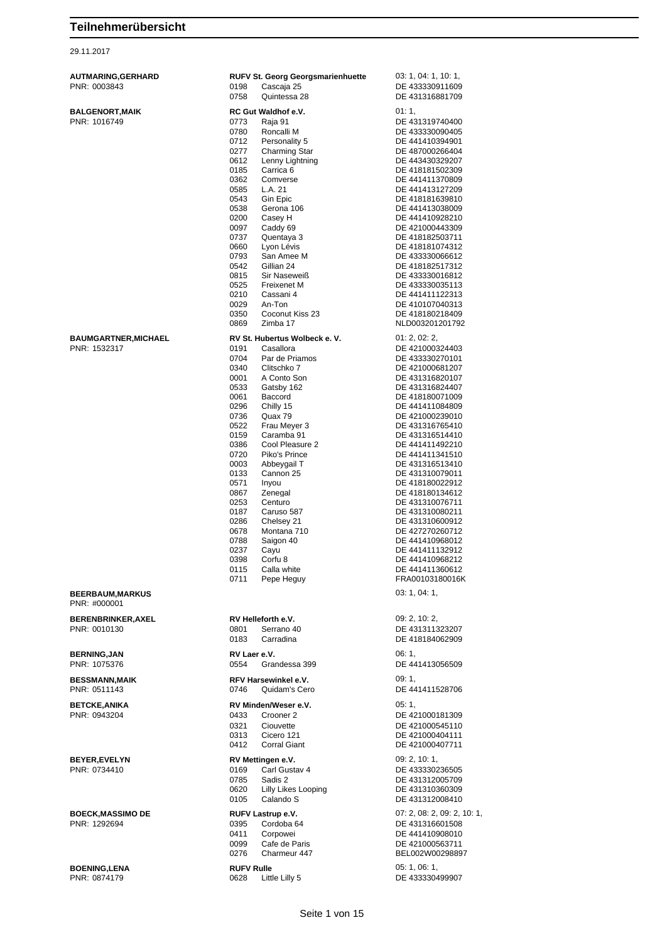29.11.2017

| PNR: 1532317 |  |
|--------------|--|
|              |  |

| AUTMARING, GERHARD<br>PNR: 0003843      | <b>RUFV St. Georg Georgsmarienhuette</b><br>0198<br>Cascaja 25<br>0758<br>Quintessa 28 | 03: 1, 04: 1, 10: 1,<br>DE 433330911609<br>DE 431316881709 |
|-----------------------------------------|----------------------------------------------------------------------------------------|------------------------------------------------------------|
|                                         |                                                                                        |                                                            |
| <b>BALGENORT, MAIK</b><br>PNR: 1016749  | RC Gut Waldhof e.V.<br>0773<br>Raja 91                                                 | 01:1,<br>DE 431319740400                                   |
|                                         | 0780<br>Roncalli M                                                                     | DE 433330090405                                            |
|                                         | 0712<br>Personality 5                                                                  | DE 441410394901                                            |
|                                         | 0277<br>Charming Star                                                                  | DE 487000266404                                            |
|                                         | 0612<br>Lenny Lightning                                                                | DE 443430329207                                            |
|                                         | 0185<br>Carrica 6                                                                      | DE 418181502309                                            |
|                                         | 0362<br>Comverse<br>L.A. 21<br>0585                                                    | DE 441411370809<br>DE 441413127209                         |
|                                         | 0543<br>Gin Epic                                                                       | DE 418181639810                                            |
|                                         | 0538<br>Gerona 106                                                                     | DE 441413038009                                            |
|                                         | 0200<br>Casey H                                                                        | DE 441410928210                                            |
|                                         | 0097<br>Caddy 69                                                                       | DE 421000443309                                            |
|                                         | 0737<br>Quentaya 3<br>0660<br>Lyon Lévis                                               | DE 418182503711<br>DE 418181074312                         |
|                                         | 0793<br>San Amee M                                                                     | DE 433330066612                                            |
|                                         | 0542<br>Gillian 24                                                                     | DE 418182517312                                            |
|                                         | 0815<br>Sir Naseweiß                                                                   | DE 433330016812                                            |
|                                         | 0525<br><b>Freixenet M</b>                                                             | DE 433330035113                                            |
|                                         | 0210<br>Cassani 4                                                                      | DE 441411122313                                            |
|                                         | 0029<br>An-Ton                                                                         | DE 410107040313                                            |
|                                         | 0350<br>Coconut Kiss 23<br>0869<br>Zimba 17                                            | DE 418180218409                                            |
|                                         |                                                                                        | NLD003201201792                                            |
| <b>BAUMGARTNER, MICHAEL</b>             | RV St. Hubertus Wolbeck e. V.                                                          | 01: 2, 02: 2,                                              |
| PNR: 1532317                            | 0191<br>Casallora                                                                      | DE 421000324403                                            |
|                                         | 0704<br>Par de Priamos<br>0340<br>Clitschko 7                                          | DE 433330270101<br>DE 421000681207                         |
|                                         | 0001<br>A Conto Son                                                                    | DE 431316820107                                            |
|                                         | 0533<br>Gatsby 162                                                                     | DE 431316824407                                            |
|                                         | 0061<br>Baccord                                                                        | DE 418180071009                                            |
|                                         | 0296<br>Chilly 15                                                                      | DE 441411084809                                            |
|                                         | 0736<br>Quax 79                                                                        | DE 421000239010                                            |
|                                         | 0522<br>Frau Meyer 3                                                                   | DE 431316765410                                            |
|                                         | 0159<br>Caramba 91<br>0386<br>Cool Pleasure 2                                          | DE 431316514410<br>DE 441411492210                         |
|                                         | 0720<br>Piko's Prince                                                                  | DE 441411341510                                            |
|                                         | 0003<br>Abbeygail T                                                                    | DE 431316513410                                            |
|                                         | 0133<br>Cannon 25                                                                      | DE 431310079011                                            |
|                                         | 0571<br>Inyou                                                                          | DE 418180022912                                            |
|                                         | 0867<br>Zenegal                                                                        | DE 418180134612                                            |
|                                         | 0253<br>Centuro<br>0187<br>Caruso 587                                                  | DE 431310076711                                            |
|                                         | 0286<br>Chelsey 21                                                                     | DE 431310080211<br>DE 431310600912                         |
|                                         | Montana 710<br>0678                                                                    | DE 427270260712                                            |
|                                         | Saigon 40<br>0788                                                                      | DE 441410968012                                            |
|                                         | 0237<br>Cayu                                                                           | DE 441411132912                                            |
|                                         | 0398<br>Corfu <sub>8</sub>                                                             | DE 441410968212                                            |
|                                         | 0115<br>Calla white                                                                    | DE 441411360612<br>FRA00103180016K                         |
|                                         | Pepe Heguy<br>0711                                                                     |                                                            |
| <b>BEERBAUM, MARKUS</b><br>PNR: #000001 |                                                                                        | 03: 1, 04: 1,                                              |
| <b>BERENBRINKER, AXEL</b>               | RV Helleforth e.V.                                                                     | 09: 2, 10: 2,                                              |
| PNR: 0010130                            | 0801<br>Serrano 40                                                                     | DE 431311323207                                            |
|                                         | 0183<br>Carradina                                                                      | DE 418184062909                                            |
| <b>BERNING, JAN</b>                     | RV Laer e.V.                                                                           | 06:1,                                                      |
| PNR: 1075376                            | 0554<br>Grandessa 399                                                                  | DE 441413056509                                            |
|                                         |                                                                                        |                                                            |
| <b>BESSMANN, MAIK</b><br>PNR: 0511143   | RFV Harsewinkel e.V.<br>0746<br>Quidam's Cero                                          | 09:1,<br>DE 441411528706                                   |
| <b>BETCKE, ANIKA</b>                    | RV Minden/Weser e.V.                                                                   | 05:1,                                                      |
| PNR: 0943204                            | 0433<br>Crooner 2                                                                      | DE 421000181309                                            |
|                                         | 0321<br>Ciouvette                                                                      | DE 421000545110                                            |
|                                         | Cicero 121<br>0313                                                                     | DE 421000404111                                            |
|                                         | 0412<br><b>Corral Giant</b>                                                            | DE 421000407711                                            |
| <b>BEYER, EVELYN</b>                    | RV Mettingen e.V.                                                                      | 09: 2, 10: 1,                                              |
| PNR: 0734410                            | 0169<br>Carl Gustav 4                                                                  | DE 433330236505                                            |
|                                         | 0785<br>Sadis 2                                                                        | DE 431312005709                                            |
|                                         | Lilly Likes Looping<br>0620                                                            | DE 431310360309                                            |
|                                         | Calando S<br>0105                                                                      | DE 431312008410                                            |
| <b>BOECK, MASSIMO DE</b>                | RUFV Lastrup e.V.                                                                      | 07: 2, 08: 2, 09: 2, 10: 1,                                |
| PNR: 1292694                            | 0395<br>Cordoba 64                                                                     | DE 431316601508                                            |
|                                         | Corpowei<br>0411                                                                       | DE 441410908010                                            |
|                                         | Cafe de Paris<br>0099<br>0276<br>Charmeur 447                                          | DE 421000563711<br>BEL002W00298897                         |
|                                         |                                                                                        |                                                            |
| <b>BOENING, LENA</b>                    | <b>RUFV Rulle</b>                                                                      | 05: 1, 06: 1,                                              |
| PNR: 0874179                            | 0628<br>Little Lilly 5                                                                 | DE 433330499907                                            |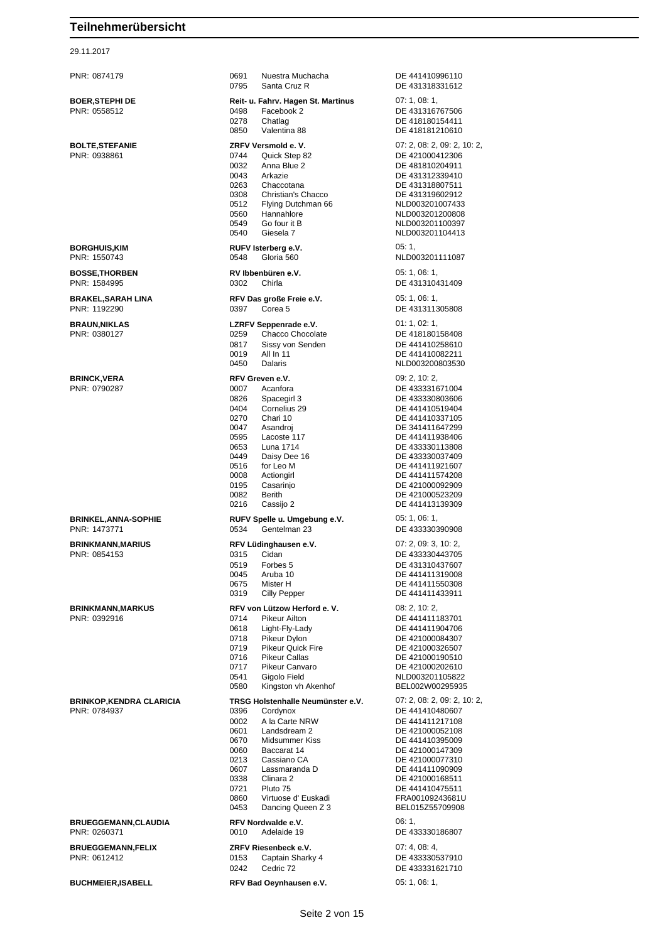| 29.11.2017                                      |                                                                                                                                                                                                                                                                                                               |                                                                                                                                                                                                                                                                      |
|-------------------------------------------------|---------------------------------------------------------------------------------------------------------------------------------------------------------------------------------------------------------------------------------------------------------------------------------------------------------------|----------------------------------------------------------------------------------------------------------------------------------------------------------------------------------------------------------------------------------------------------------------------|
| PNR: 0874179                                    | 0691<br>Nuestra Muchacha<br>0795<br>Santa Cruz R                                                                                                                                                                                                                                                              | DE 441410996110<br>DE 431318331612                                                                                                                                                                                                                                   |
| <b>BOER, STEPHI DE</b><br>PNR: 0558512          | Reit- u. Fahrv. Hagen St. Martinus<br>Facebook 2<br>0498<br>0278<br>Chatlag<br>0850<br>Valentina 88                                                                                                                                                                                                           | 07:1,08:1,<br>DE 431316767506<br>DE 418180154411<br>DE 418181210610                                                                                                                                                                                                  |
| <b>BOLTE, STEFANIE</b><br>PNR: 0938861          | ZRFV Versmold e.V.<br>0744<br>Quick Step 82<br>0032<br>Anna Blue 2<br>0043<br>Arkazie<br>0263<br>Chaccotana<br>0308<br>Christian's Chacco<br>0512<br>Flying Dutchman 66<br>Hannahlore<br>0560<br>0549<br>Go four it B<br>0540<br>Giesela 7                                                                    | 07: 2, 08: 2, 09: 2, 10: 2,<br>DE 421000412306<br>DE 481810204911<br>DE 431312339410<br>DE 431318807511<br>DE 431319602912<br>NLD003201007433<br>NLD003201200808<br>NLD003201100397<br>NLD003201104413                                                               |
| <b>BORGHUIS,KIM</b><br>PNR: 1550743             | RUFV Isterberg e.V.<br>0548<br>Gloria 560                                                                                                                                                                                                                                                                     | 05:1<br>NLD003201111087                                                                                                                                                                                                                                              |
| <b>BOSSE, THORBEN</b><br>PNR: 1584995           | RV Ibbenbüren e.V.<br>0302<br>Chirla                                                                                                                                                                                                                                                                          | 05: 1, 06: 1,<br>DE 431310431409                                                                                                                                                                                                                                     |
| <b>BRAKEL, SARAH LINA</b><br>PNR: 1192290       | RFV Das große Freie e.V.<br>0397<br>Corea 5                                                                                                                                                                                                                                                                   | 05: 1, 06: 1,<br>DE 431311305808                                                                                                                                                                                                                                     |
| <b>BRAUN, NIKLAS</b><br>PNR: 0380127            | LZRFV Seppenrade e.V.<br>0259<br>Chacco Chocolate<br>0817<br>Sissy von Senden<br>0019<br>All In 11<br>0450<br>Dalaris                                                                                                                                                                                         | 01: 1, 02: 1,<br>DE 418180158408<br>DE 441410258610<br>DE 441410082211<br>NLD003200803530                                                                                                                                                                            |
| <b>BRINCK, VERA</b><br>PNR: 0790287             | RFV Greven e.V.<br>Acanfora<br>0007<br>0826<br>Spacegirl 3<br>0404<br>Cornelius 29<br>0270<br>Chari 10<br>0047<br>Asandroj<br>0595<br>Lacoste 117<br>0653<br>Luna 1714<br>0449<br>Daisy Dee 16<br>0516<br>for Leo M<br>0008<br>Actiongirl<br>0195<br>Casarinio<br>0082<br>Berith<br>0216<br>Cassijo 2         | 09: 2, 10: 2,<br>DE 433331671004<br>DE 433330803606<br>DE 441410519404<br>DE 441410337105<br>DE 341411647299<br>DE 441411938406<br>DE 433330113808<br>DE 433330037409<br>DE 441411921607<br>DE 441411574208<br>DE 421000092909<br>DE 421000523209<br>DE 441413139309 |
| <b>BRINKEL, ANNA-SOPHIE</b><br>PNR: 1473771     | RUFV Spelle u. Umgebung e.V.<br>Gentelman 23<br>0534                                                                                                                                                                                                                                                          | 05: 1, 06: 1,<br>DE 433330390908                                                                                                                                                                                                                                     |
| <b>BRINKMANN, MARIUS</b><br>PNR: 0854153        | RFV Lüdinghausen e.V.<br>0315<br>Cidan<br>0519<br>Forbes 5<br>0045<br>Aruba 10<br>0675<br>Mister H<br>0319<br>Cilly Pepper                                                                                                                                                                                    | 07: 2, 09: 3, 10: 2,<br>DE 433330443705<br>DE 431310437607<br>DE 441411319008<br>DE 441411550308<br>DE 441411433911                                                                                                                                                  |
| <b>BRINKMANN, MARKUS</b><br>PNR: 0392916        | RFV von Lützow Herford e. V.<br>0714<br>Pikeur Ailton<br>0618<br>Light-Fly-Lady<br>0718<br>Pikeur Dylon<br>0719<br><b>Pikeur Quick Fire</b><br><b>Pikeur Callas</b><br>0716<br>0717<br>Pikeur Canvaro<br>0541<br>Gigolo Field<br>Kingston vh Akenhof<br>0580                                                  | 08: 2, 10: 2,<br>DE 441411183701<br>DE 441411904706<br>DE 421000084307<br>DE 421000326507<br>DE 421000190510<br>DE 421000202610<br>NLD003201105822<br>BEL002W00295935                                                                                                |
| <b>BRINKOP, KENDRA CLARICIA</b><br>PNR: 0784937 | TRSG Holstenhalle Neumünster e.V.<br>0396<br>Cordynox<br>0002<br>A la Carte NRW<br>0601<br>Landsdream 2<br>0670<br>Midsummer Kiss<br>0060<br>Baccarat 14<br>0213<br>Cassiano CA<br>0607<br>Lassmaranda D<br>0338<br>Clinara 2<br>0721<br>Pluto 75<br>0860<br>Virtuose d' Euskadi<br>0453<br>Dancing Queen Z 3 | 07: 2, 08: 2, 09: 2, 10: 2,<br>DE 441410480607<br>DE 441411217108<br>DE 421000052108<br>DE 441410395009<br>DE 421000147309<br>DE 421000077310<br>DE 441411090909<br>DE 421000168511<br>DE 441410475511<br>FRA00109243681U<br>BEL015Z55709908                         |
| <b>BRUEGGEMANN,CLAUDIA</b><br>PNR: 0260371      | RFV Nordwalde e.V.<br>0010<br>Adelaide 19                                                                                                                                                                                                                                                                     | 06:1<br>DE 433330186807                                                                                                                                                                                                                                              |
| <b>BRUEGGEMANN FELIX</b>                        | ZRFV Riesenbeck e.V.                                                                                                                                                                                                                                                                                          | 07:4.08:4.                                                                                                                                                                                                                                                           |

| PNR: 0874179                                    | 0691<br>Nuestra Muchacha<br>0795<br>Santa Cruz R                                                                                                                                                                                                                                                                         | DE 441410996110<br>DE 431318331612                                                                                                                                                                                                                                   |
|-------------------------------------------------|--------------------------------------------------------------------------------------------------------------------------------------------------------------------------------------------------------------------------------------------------------------------------------------------------------------------------|----------------------------------------------------------------------------------------------------------------------------------------------------------------------------------------------------------------------------------------------------------------------|
| <b>BOER, STEPHI DE</b><br>PNR: 0558512          | Reit- u. Fahrv. Hagen St. Martinus<br>Facebook 2<br>0498<br>0278<br>Chatlag<br>Valentina 88<br>0850                                                                                                                                                                                                                      | 07:1,08:1,<br>DE 431316767506<br>DE 418180154411<br>DE 418181210610                                                                                                                                                                                                  |
| <b>BOLTE, STEFANIE</b><br>PNR: 0938861          | ZRFV Versmold e.V.<br>0744<br>Quick Step 82<br>Anna Blue 2<br>0032<br>0043<br>Arkazie<br>0263<br>Chaccotana<br>0308<br>Christian's Chacco<br>0512<br>Flying Dutchman 66<br>0560<br>Hannahlore<br>Go four it B<br>0549<br>0540<br>Giesela 7                                                                               | 07: 2, 08: 2, 09: 2, 10: 2<br>DE 421000412306<br>DE 481810204911<br>DE 431312339410<br>DE 431318807511<br>DE 431319602912<br>NLD003201007433<br>NLD003201200808<br>NLD003201100397<br>NLD003201104413                                                                |
| <b>BORGHUIS,KIM</b><br>PNR: 1550743             | RUFV Isterberg e.V.<br>0548<br>Gloria 560                                                                                                                                                                                                                                                                                | 05:1<br>NLD003201111087                                                                                                                                                                                                                                              |
| <b>BOSSE, THORBEN</b><br>PNR: 1584995           | RV Ibbenbüren e.V.<br>Chirla<br>0302                                                                                                                                                                                                                                                                                     | 05:1,06:1,<br>DE 431310431409                                                                                                                                                                                                                                        |
| <b>BRAKEL, SARAH LINA</b><br>PNR: 1192290       | RFV Das große Freie e.V.<br>0397<br>Corea 5                                                                                                                                                                                                                                                                              | 05:1,06:1,<br>DE 431311305808                                                                                                                                                                                                                                        |
| <b>BRAUN, NIKLAS</b><br>PNR: 0380127            | LZRFV Seppenrade e.V.<br>Chacco Chocolate<br>0259<br>0817<br>Sissy von Senden<br>All In 11<br>0019<br>0450<br>Dalaris                                                                                                                                                                                                    | 01: 1, 02: 1,<br>DE 418180158408<br>DE 441410258610<br>DE 441410082211<br>NLD003200803530                                                                                                                                                                            |
| <b>BRINCK, VERA</b><br>PNR: 0790287             | RFV Greven e.V.<br>0007<br>Acanfora<br>0826<br>Spacegirl 3<br>Cornelius 29<br>0404<br>0270<br>Chari 10<br>0047<br>Asandroj<br>0595<br>Lacoste 117<br>0653<br>Luna 1714<br>0449<br>Daisy Dee 16<br>0516<br>for Leo M<br>0008<br>Actiongirl<br>Casarinjo<br>0195<br>0082<br><b>Berith</b><br>0216<br>Cassijo 2             | 09: 2, 10: 2,<br>DE 433331671004<br>DE 433330803606<br>DE 441410519404<br>DE 441410337105<br>DE 341411647299<br>DE 441411938406<br>DE 433330113808<br>DE 433330037409<br>DE 441411921607<br>DE 441411574208<br>DE 421000092909<br>DE 421000523209<br>DE 441413139309 |
| <b>BRINKEL, ANNA-SOPHIE</b><br>PNR: 1473771     | RUFV Spelle u. Umgebung e.V.<br>Gentelman 23<br>0534                                                                                                                                                                                                                                                                     | 05: 1, 06: 1,<br>DE 433330390908                                                                                                                                                                                                                                     |
| <b>BRINKMANN, MARIUS</b><br>PNR: 0854153        | RFV Lüdinghausen e.V.<br>Cidan<br>0315<br>0519<br>Forbes 5<br>Aruba 10<br>0045<br>0675<br>Mister H<br>0319<br>Cilly Pepper                                                                                                                                                                                               | 07: 2, 09: 3, 10: 2,<br>DE 433330443705<br>DE 431310437607<br>DE 441411319008<br>DE 441411550308<br>DE 441411433911                                                                                                                                                  |
| <b>BRINKMANN, MARKUS</b><br>PNR: 0392916        | RFV von Lützow Herford e. V.<br>0714<br>Pikeur Ailton<br>0618<br>Light-Fly-Lady<br>0718<br>Pikeur Dvlon<br>0719<br><b>Pikeur Quick Fire</b><br>0716<br><b>Pikeur Callas</b><br>0717<br>Pikeur Canvaro<br>0541<br>Gigolo Field<br>0580<br>Kingston vh Akenhof                                                             | 08: 2, 10: 2,<br>DE 441411183701<br>DE 441411904706<br>DE 421000084307<br>DE 421000326507<br>DE 421000190510<br>DE 421000202610<br>NLD003201105822<br>BEL002W00295935                                                                                                |
| <b>BRINKOP, KENDRA CLARICIA</b><br>PNR: 0784937 | TRSG Holstenhalle Neumünster e.V.<br>0396<br>Cordynox<br>0002<br>A la Carte NRW<br>0601<br>Landsdream 2<br>0670<br>Midsummer Kiss<br>0060<br>Baccarat 14<br>0213<br>Cassiano CA<br>0607<br>Lassmaranda D<br>Clinara <sub>2</sub><br>0338<br>0721<br>Pluto 75<br>0860<br>Virtuose d' Euskadi<br>0453<br>Dancing Queen Z 3 | 07: 2, 08: 2, 09: 2, 10: 2<br>DE 441410480607<br>DE 441411217108<br>DE 421000052108<br>DE 441410395009<br>DE 421000147309<br>DE 421000077310<br>DE 441411090909<br>DE 421000168511<br>DE 441410475511<br>FRA00109243681U<br>BEL015Z55709908                          |
| <b>BRUEGGEMANN,CLAUDIA</b><br>PNR: 0260371      | RFV Nordwalde e.V.<br>0010<br>Adelaide 19                                                                                                                                                                                                                                                                                | 06:1<br>DE 433330186807                                                                                                                                                                                                                                              |
| <b>BRUEGGEMANN, FELIX</b><br>PNR: 0612412       | ZRFV Riesenbeck e.V.<br>Captain Sharky 4<br>0153<br>0242<br>Cedric 72                                                                                                                                                                                                                                                    | 07: 4, 08: 4,<br>DE 433330537910<br>DE 433331621710                                                                                                                                                                                                                  |

# DE 441413139309 DE 431310437607 DE 441411319008 DE 441411550308 DE 441411433911 DE 441411183701 DE 441411904706 DE 421000084307 DE 421000326507 DE 421000190510 DE 421000202610 NLD003201105822 BEL002W00295935 DE 441410480607 DE 441411217108 DE 421000052108 DE 441410395009 DE 421000147309 DE 421000077310 DE 441411090909 DE 421000168511 DE 441410475511 0860 Virtuose d' Euskadi FRA00109243681U BEL015Z55709908 **BUCHMEIER,ISABELL RFV Bad Oeynhausen e.V.** 05: 1, 06: 1,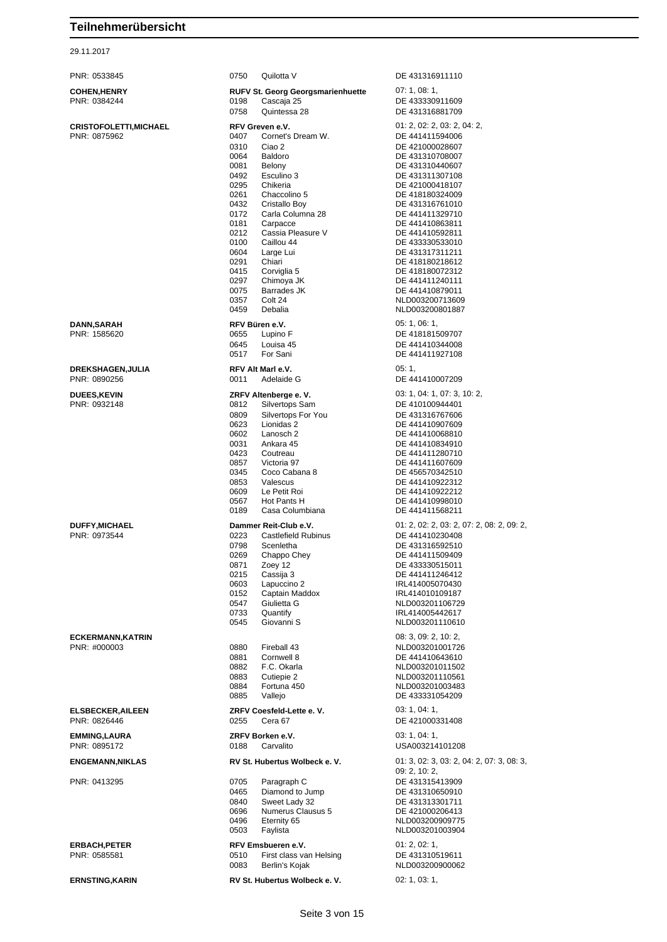| PNR: 0533845            | 0750<br>Quilotta V                             | DE 431316911110                           |
|-------------------------|------------------------------------------------|-------------------------------------------|
| <b>COHEN,HENRY</b>      | <b>RUFV St. Georg Georgsmarienhuette</b>       | 07:1,08:1,                                |
| PNR: 0384244            | 0198<br>Cascaja 25                             | DE 433330911609                           |
|                         | 0758<br>Quintessa 28                           | DE 431316881709                           |
| CRISTOFOLETTI,MICHAEL   | RFV Greven e.V.                                | 01: 2, 02: 2, 03: 2, 04: 2,               |
| PNR: 0875962            | Cornet's Dream W.<br>0407                      | DE 441411594006                           |
|                         | 0310<br>Ciao 2                                 | DE 421000028607                           |
|                         | 0064<br>Baldoro                                | DE 431310708007                           |
|                         | 0081<br>Belony                                 | DE 431310440607                           |
|                         | Esculino 3<br>0492<br>0295<br>Chikeria         | DE 431311307108<br>DE 421000418107        |
|                         | 0261<br>Chaccolino 5                           | DE 418180324009                           |
|                         | 0432<br>Cristallo Boy                          | DE 431316761010                           |
|                         | 0172<br>Carla Columna 28                       | DE 441411329710                           |
|                         | 0181<br>Carpacce                               | DE 441410863811                           |
|                         | 0212<br>Cassia Pleasure V                      | DE 441410592811                           |
|                         | Caillou 44<br>0100                             | DE 433330533010                           |
|                         | 0604<br>Large Lui<br>0291<br>Chiari            | DE 431317311211<br>DE 418180218612        |
|                         | 0415<br>Corviglia 5                            | DE 418180072312                           |
|                         | 0297<br>Chimoya JK                             | DE 441411240111                           |
|                         | 0075<br>Barrades JK                            | DE 441410879011                           |
|                         | 0357<br>Colt 24                                | NLD003200713609                           |
|                         | 0459<br>Debalia                                | NLD003200801887                           |
| DANN,SARAH              | RFV Büren e.V.                                 | 05: 1, 06: 1,                             |
| PNR: 1585620            | 0655<br>Lupino F                               | DE 418181509707                           |
|                         | 0645<br>Louisa 45                              | DE 441410344008                           |
|                         | 0517<br>For Sani                               | DE 441411927108                           |
| DREKSHAGEN,JULIA        | RFV Alt Marl e.V.                              | 05:1                                      |
| PNR: 0890256            | 0011<br>Adelaide G                             | DE 441410007209                           |
|                         |                                                |                                           |
| <b>DUEES,KEVIN</b>      | ZRFV Altenberge e.V.                           | 03: 1, 04: 1, 07: 3, 10: 2,               |
| PNR: 0932148            | 0812<br>Silvertops Sam                         | DE 410100944401                           |
|                         | 0809<br>Silvertops For You                     | DE 431316767606                           |
|                         | 0623<br>Lionidas 2<br>0602<br>Lanosch 2        | DE 441410907609<br>DE 441410068810        |
|                         | 0031<br>Ankara 45                              | DE 441410834910                           |
|                         | 0423<br>Coutreau                               | DE 441411280710                           |
|                         | 0857<br>Victoria 97                            | DE 441411607609                           |
|                         | Coco Cabana 8<br>0345                          | DE 456570342510                           |
|                         | 0853<br>Valescus                               | DE 441410922312                           |
|                         | 0609<br>Le Petit Roi                           | DE 441410922212                           |
|                         | 0567<br>Hot Pants H<br>0189<br>Casa Columbiana | DE 441410998010<br>DE 441411568211        |
|                         |                                                |                                           |
| <b>DUFFY,MICHAEL</b>    | Dammer Reit-Club e.V.                          | 01: 2, 02: 2, 03: 2, 07: 2, 08: 2, 09: 2, |
| PNR: 0973544            | 0223<br><b>Castlefield Rubinus</b>             | DE 441410230408                           |
|                         | 0798<br>Scenletha<br>0269<br>Chappo Chey       | DE 431316592510<br>DE 441411509409        |
|                         | 0871<br>Zoey 12                                | DE 433330515011                           |
|                         | 0215<br>Cassija 3                              | DE 441411246412                           |
|                         | 0603<br>Lapuccino 2                            | IRL414005070430                           |
|                         | 0152<br>Captain Maddox                         | IRL414010109187                           |
|                         | 0547<br>Giulietta G                            | NLD003201106729                           |
|                         | 0733<br>Quantify                               | IRL414005442617                           |
|                         | 0545<br>Giovanni S                             | NLD003201110610                           |
| ECKERMANN,KATRIN        |                                                | 08:3,09:2,10:2,                           |
| PNR: #000003            | 0880<br>Fireball 43                            | NLD003201001726                           |
|                         | 0881<br>Cornwell 8                             | DE 441410643610                           |
|                         | 0882<br>F.C. Okarla                            | NLD003201011502                           |
|                         | 0883<br>Cutiepie 2<br>0884<br>Fortuna 450      | NLD003201110561                           |
|                         | 0885<br>Vallejo                                | NLD003201003483<br>DE 433331054209        |
|                         |                                                |                                           |
| <b>ELSBECKER,AILEEN</b> | ZRFV Coesfeld-Lette e.V.                       | 03: 1, 04: 1,                             |
| PNR: 0826446            | 0255<br>Cera 67                                | DE 421000331408                           |
| <b>EMMING,LAURA</b>     | ZRFV Borken e.V.                               | 03: 1, 04: 1,                             |
| PNR: 0895172            | 0188<br>Carvalito                              | USA003214101208                           |
| ENGEMANN,NIKLAS         | RV St. Hubertus Wolbeck e. V.                  | 01: 3, 02: 3, 03: 2, 04: 2, 07: 3, 08: 3, |
|                         |                                                | 09: 2, 10: 2,                             |
| PNR: 0413295            | 0705<br>Paragraph C                            | DE 431315413909                           |
|                         | 0465<br>Diamond to Jump                        | DE 431310650910                           |
|                         | 0840<br>Sweet Lady 32                          | DE 431313301711                           |
|                         | 0696<br>Numerus Clausus 5                      | DE 421000206413                           |
|                         | Eternity 65<br>0496                            | NLD003200909775                           |
|                         | 0503<br>Faylista                               | NLD003201003904                           |
| ERBACH,PETER            | RFV Emsbueren e.V.                             | 01: 2, 02: 1,                             |
| PNR: 0585581            | First class van Helsing<br>0510                | DE 431310519611                           |
|                         | 0083<br>Berlin's Kojak                         | NLD003200900062                           |
| <b>ERNSTING,KARIN</b>   | RV St. Hubertus Wolbeck e. V.                  | 02: 1, 03: 1,                             |
|                         |                                                |                                           |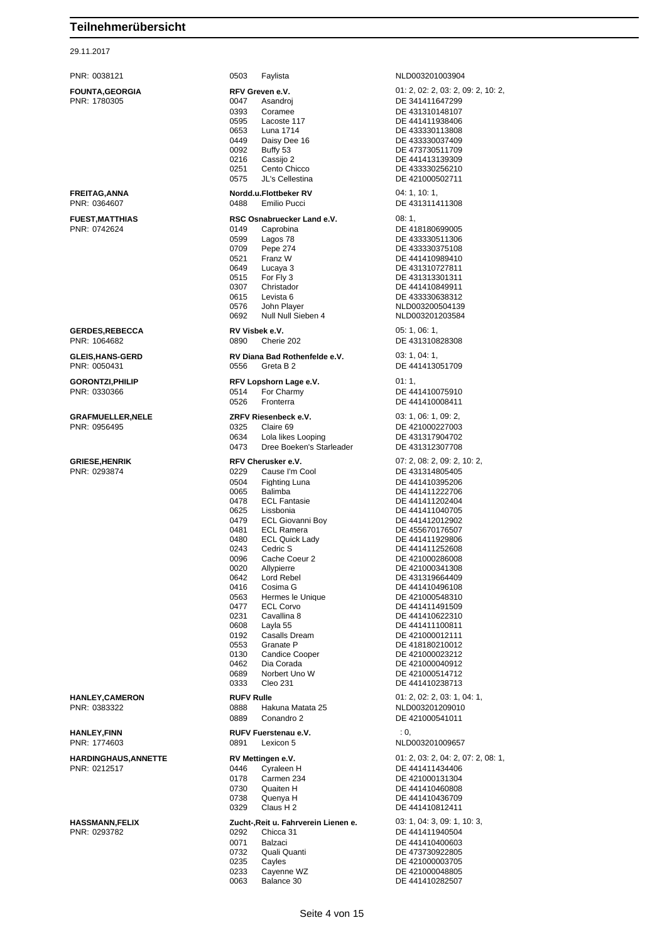| PNR: 0038121                            | 0503<br>Faylista                                       | NLD003201003904                         |
|-----------------------------------------|--------------------------------------------------------|-----------------------------------------|
| <b>FOUNTA,GEORGIA</b>                   | RFV Greven e.V.                                        | 01: 2, 02: 2, 03: 2, 09: 2, 10: 2,      |
| PNR: 1780305                            | 0047<br>Asandroj                                       | DE 341411647299                         |
|                                         | 0393<br>Coramee                                        | DE 431310148107                         |
|                                         | 0595<br>Lacoste 117                                    | DE 441411938406                         |
|                                         | 0653<br>Luna 1714                                      | DE 433330113808                         |
|                                         | 0449<br>Daisy Dee 16                                   | DE 433330037409                         |
|                                         | 0092<br>Buffy 53                                       | DE 473730511709                         |
|                                         | 0216<br>Cassijo 2                                      | DE 441413139309                         |
|                                         | 0251<br>Cento Chicco                                   | DE 433330256210                         |
|                                         | JL's Cellestina<br>0575                                | DE 421000502711                         |
| FREITAG,ANNA                            | Nordd.u.Flottbeker RV                                  | 04:1, 10:1,                             |
| PNR: 0364607                            | 0488<br>Emilio Pucci                                   | DE 431311411308                         |
|                                         |                                                        |                                         |
| <b>FUEST,MATTHIAS</b>                   | RSC Osnabruecker Land e.V.                             | 08:1,                                   |
| PNR: 0742624                            | 0149<br>Caprobina                                      | DE 418180699005                         |
|                                         | 0599<br>Lagos 78                                       | DE 433330511306                         |
|                                         | 0709<br>Pepe 274                                       | DE 433330375108                         |
|                                         | 0521<br>Franz W                                        | DE 441410989410                         |
|                                         | 0649<br>Lucaya 3<br>0515                               | DE 431310727811<br>DE 431313301311      |
|                                         | For Fly 3<br>0307<br>Christador                        | DE 441410849911                         |
|                                         | 0615<br>Levista 6                                      | DE 433330638312                         |
|                                         | 0576<br>John Player                                    | NLD003200504139                         |
|                                         | Null Null Sieben 4<br>0692                             | NLD003201203584                         |
|                                         |                                                        |                                         |
| <b>GERDES,REBECCA</b><br>PNR: 1064682   | RV Visbek e.V.<br>0890<br>Cherie 202                   | 05: 1, 06: 1,<br>DE 431310828308        |
|                                         |                                                        |                                         |
| <b>GLEIS,HANS-GERD</b>                  | RV Diana Bad Rothenfelde e.V.                          | 03: 1, 04: 1,                           |
| PNR: 0050431                            | 0556<br>Greta B 2                                      | DE 441413051709                         |
| <b>GORONTZI,PHILIP</b>                  | RFV Lopshorn Lage e.V.                                 | 01:1,                                   |
| PNR: 0330366                            | 0514<br>For Charmy                                     | DE 441410075910                         |
|                                         | 0526<br>Fronterra                                      | DE 441410008411                         |
|                                         |                                                        |                                         |
| <b>GRAFMUELLER,NELE</b><br>PNR: 0956495 | ZRFV Riesenbeck e.V.<br>0325<br>Claire 69              | 03: 1, 06: 1, 09: 2,<br>DE 421000227003 |
|                                         | 0634                                                   | DE 431317904702                         |
|                                         | Lola likes Looping<br>0473<br>Dree Boeken's Starleader | DE 431312307708                         |
|                                         |                                                        |                                         |
| <b>GRIESE,HENRIK</b>                    | RFV Cherusker e.V.                                     | 07: 2, 08: 2, 09: 2, 10: 2,             |
| PNR: 0293874                            | 0229<br>Cause I'm Cool                                 | DE 431314805405                         |
|                                         | 0504<br>Fighting Luna                                  | DE 441410395206                         |
|                                         | 0065<br>Balimba                                        | DE 441411222706                         |
|                                         | 0478<br><b>ECL Fantasie</b>                            | DE 441411202404                         |
|                                         | 0625<br>Lissbonia<br>0479                              | DE 441411040705<br>DE 441412012902      |
|                                         | <b>ECL Giovanni Boy</b><br>0481<br><b>ECL Ramera</b>   | DE 455670176507                         |
|                                         | 0480<br><b>ECL Quick Lady</b>                          | DE 441411929806                         |
|                                         | 0243<br>Cedric S                                       | DE 441411252608                         |
|                                         | 0096<br>Cache Coeur 2                                  | DE 421000286008                         |
|                                         | 0020<br>Allypierre                                     | DE 421000341308                         |
|                                         | 0642<br>Lord Rebel                                     | DE 431319664409                         |
|                                         | 0416<br>Cosima G                                       | DE 441410496108                         |
|                                         | 0563<br>Hermes le Unique                               | DE 421000548310                         |
|                                         | 0477<br><b>ECL Corvo</b>                               | DE 441411491509                         |
|                                         | 0231<br>Cavallina 8                                    | DE 441410622310                         |
|                                         | 0608<br>Layla 55                                       | DE 441411100811                         |
|                                         | 0192<br>Casalls Dream                                  | DE 421000012111                         |
|                                         | 0553<br>Granate P                                      | DE 418180210012                         |
|                                         | 0130<br><b>Candice Cooper</b>                          | DE 421000023212                         |
|                                         | 0462<br>Dia Corada<br>0689<br>Norbert Uno W            | DE 421000040912<br>DE 421000514712      |
|                                         | 0333<br>Cleo 231                                       | DE 441410238713                         |
|                                         |                                                        |                                         |
| <b>HANLEY,CAMERON</b>                   | <b>RUFV Rulle</b>                                      | 01: 2, 02: 2, 03: 1, 04: 1,             |
| PNR: 0383322                            | Hakuna Matata 25<br>0888                               | NLD003201209010                         |
|                                         | 0889<br>Conandro 2                                     | DE 421000541011                         |
| HANLEY,FINN                             | RUFV Fuerstenau e.V.                                   | $\cdot$ 0.                              |
| PNR: 1774603                            | 0891<br>Lexicon 5                                      | NLD003201009657                         |
| <b>HARDINGHAUS,ANNETTE</b>              | RV Mettingen e.V.                                      | 01: 2, 03: 2, 04: 2, 07: 2, 08: 1,      |
| PNR: 0212517                            | 0446<br>Cyraleen H                                     | DE 441411434406                         |
|                                         | 0178<br>Carmen 234                                     | DE 421000131304                         |
|                                         | 0730<br>Quaiten H                                      | DE 441410460808                         |
|                                         | 0738<br>Quenya H                                       | DE 441410436709                         |
|                                         | 0329<br>Claus H <sub>2</sub>                           | DE 441410812411                         |
| <b>HASSMANN,FELIX</b>                   | Zucht-, Reit u. Fahrverein Lienen e.                   | 03: 1, 04: 3, 09: 1, 10: 3,             |
| PNR: 0293782                            | 0292<br>Chicca 31                                      | DE 441411940504                         |
|                                         | 0071<br>Balzaci                                        | DE 441410400603                         |
|                                         | 0732<br>Quali Quanti                                   | DE 473730922805                         |
|                                         | 0235<br>Cayles                                         | DE 421000003705                         |
|                                         | 0233<br>Cayenne WZ                                     | DE 421000048805                         |
|                                         | 0063<br>Balance 30                                     | DE 441410282507                         |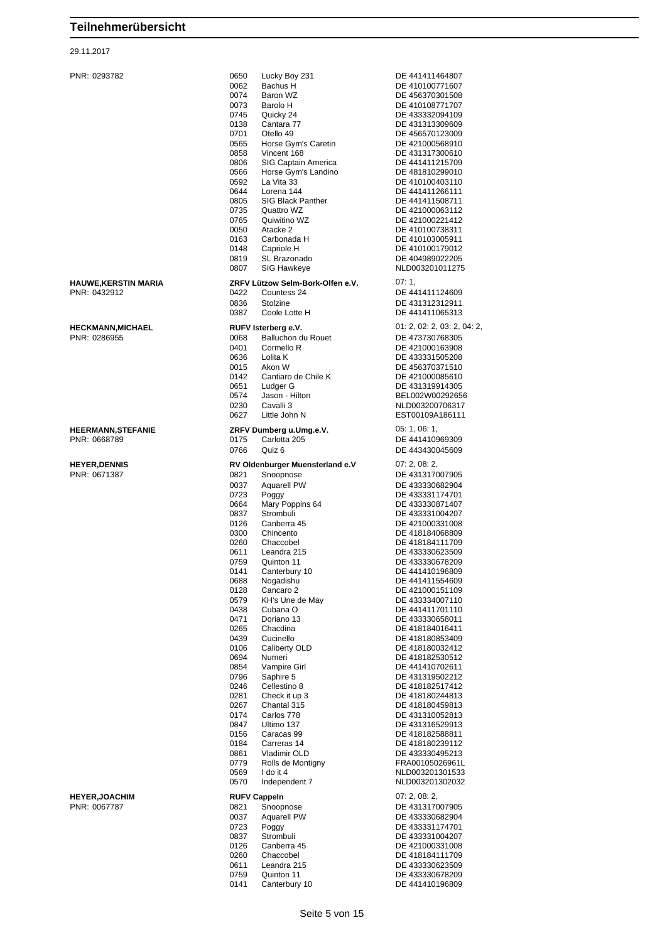#### 29.11.2017

| <b>HEERMANN, STEFANIE</b> |
|---------------------------|
| PNR: 0668789              |
| <b>HEYER, DENNIS</b>      |
| <b>DAID. 0074007</b>      |

|                             | 0650<br>Lucky Boy 231                             | DE 441411464807                    |
|-----------------------------|---------------------------------------------------|------------------------------------|
| PNR: 0293782                | 0062<br>Bachus H                                  | DE 410100771607                    |
|                             | 0074<br>Baron WZ                                  | DE 456370301508                    |
|                             | 0073<br>Barolo H                                  | DE 410108771707                    |
|                             | 0745<br>Quicky 24                                 | DE 433332094109                    |
|                             | 0138<br>Cantara 77                                | DE 431313309609                    |
|                             | 0701<br>Otello 49                                 | DE 456570123009                    |
|                             | 0565<br>Horse Gym's Caretin                       | DE 421000568910                    |
|                             | 0858<br>Vincent 168                               | DE 431317300610                    |
|                             | 0806<br>SIG Captain America                       | DE 441411215709                    |
|                             | 0566<br>Horse Gym's Landino<br>0592<br>La Vita 33 | DE 481810299010                    |
|                             | 0644<br>Lorena 144                                | DE 410100403110<br>DE 441411266111 |
|                             | 0805<br><b>SIG Black Panther</b>                  | DE 441411508711                    |
|                             | 0735<br>Quattro WZ                                | DE 421000063112                    |
|                             | 0765<br>Quiwitino WZ                              | DE 421000221412                    |
|                             | 0050<br>Atacke 2                                  | DE 410100738311                    |
|                             | 0163<br>Carbonada H                               | DE 410103005911                    |
|                             | 0148<br>Capriole H                                | DE 410100179012                    |
|                             | 0819<br>SL Brazonado                              | DE 404989022205                    |
|                             | 0807<br>SIG Hawkeye                               | NLD003201011275                    |
| <b>HAUWE, KERSTIN MARIA</b> | ZRFV Lützow Selm-Bork-Olfen e.V.                  | 07:1,                              |
| PNR: 0432912                | 0422<br>Countess 24                               | DE 441411124609                    |
|                             | 0836<br>Stolzine                                  | DE 431312312911                    |
|                             | 0387<br>Coole Lotte H                             | DE 441411065313                    |
| <b>HECKMANN, MICHAEL</b>    | RUFV Isterberg e.V.                               | 01: 2, 02: 2, 03: 2, 04: 2,        |
| PNR: 0286955                | 0068<br>Balluchon du Rouet                        | DE 473730768305                    |
|                             | 0401<br>Cormello R                                | DE 421000163908                    |
|                             | 0636<br>Lolita K                                  | DE 433331505208                    |
|                             | 0015<br>Akon W                                    | DE 456370371510                    |
|                             | 0142<br>Cantiaro de Chile K                       | DE 421000085610                    |
|                             | 0651<br>Ludger G                                  | DE 431319914305                    |
|                             | 0574<br>Jason - Hilton                            | BEL002W00292656                    |
|                             | 0230<br>Cavalli 3                                 | NLD003200706317                    |
|                             | 0627<br>Little John N                             | EST00109A186111                    |
| <b>HEERMANN, STEFANIE</b>   | ZRFV Dumberg u.Umg.e.V.                           | 05: 1, 06: 1,                      |
| PNR: 0668789                | Carlotta 205<br>0175                              | DE 441410969309                    |
|                             | 0766<br>Quiz 6                                    | DE 443430045609                    |
| <b>HEYER, DENNIS</b>        | RV Oldenburger Muensterland e.V                   | 07: 2, 08: 2,                      |
| PNR: 0671387                | 0821<br>Snoopnose                                 | DE 431317007905                    |
|                             | 0037<br>Aquarell PW                               | DE 433330682904                    |
|                             | 0723<br>Poggy                                     | DE 433331174701                    |
|                             | 0664<br>Mary Poppins 64                           | DE 433330871407                    |
|                             |                                                   | DE 433331004207                    |
|                             | 0837<br>Strombuli                                 |                                    |
|                             | 0126<br>Canberra 45                               | DE 421000331008                    |
|                             | 0300<br>Chincento                                 | DE 418184068809                    |
|                             | 0260<br>Chaccobel                                 | DE 418184111709                    |
|                             | 0611<br>Leandra 215                               | DE 433330623509                    |
|                             | 0759<br>Quinton 11                                | DE 433330678209                    |
|                             | 0141<br>Canterbury 10                             | DE 441410196809                    |
|                             | 0688<br>Nogadishu                                 | DE 441411554609                    |
|                             | 0128<br>Cancaro 2                                 | DE 421000151109                    |
|                             | 0579<br>KH's Une de May                           | DE 433334007110                    |
|                             | 0438<br>Cubana O<br>Doriano 13                    | DE 441411701110<br>DE 433330658011 |
|                             | 0471                                              |                                    |
|                             | 0265<br>Chacdina<br>0439<br>Cucinello             | DE 418184016411<br>DE 418180853409 |
|                             | 0106<br>Caliberty OLD                             | DE 418180032412                    |
|                             | 0694<br>Numeri                                    | DE 418182530512                    |
|                             | Vampire Girl<br>0854                              | DE 441410702611                    |
|                             | 0796<br>Saphire 5                                 | DE 431319502212                    |
|                             | 0246<br>Cellestino 8                              | DE 418182517412                    |
|                             | 0281<br>Check it up 3                             | DE 418180244813                    |
|                             | 0267<br>Chantal 315                               | DE 418180459813                    |
|                             | 0174<br>Carlos 778                                | DE 431310052813                    |
|                             | 0847<br>Ultimo 137                                | DE 431316529913                    |
|                             | Caracas 99<br>0156                                | DE 418182588811                    |
|                             | 0184<br>Carreras 14<br>0861<br>Vladimir OLD       | DE 418180239112<br>DE 433330495213 |
|                             | 0779<br>Rolls de Montigny                         | FRA00105026961L                    |
|                             | 0569<br>I do it 4                                 | NLD003201301533                    |
|                             | 0570<br>Independent 7                             | NLD003201302032                    |
| <b>HEYER, JOACHIM</b>       | <b>RUFV Cappeln</b>                               | 07: 2, 08: 2,                      |
| PNR: 0067787                | 0821<br>Snoopnose                                 | DE 431317007905                    |
|                             | 0037<br><b>Aquarell PW</b>                        | DE 433330682904                    |
|                             | 0723<br>Poggy                                     | DE 433331174701                    |
|                             | 0837<br>Strombuli                                 | DE 433331004207                    |
|                             | 0126<br>Canberra 45                               | DE 421000331008                    |
|                             | 0260<br>Chaccobel                                 | DE 418184111709                    |
|                             | 0611<br>Leandra 215                               | DE 433330623509                    |
|                             | 0759<br>Quinton 11<br>0141<br>Canterbury 10       | DE 433330678209<br>DE 441410196809 |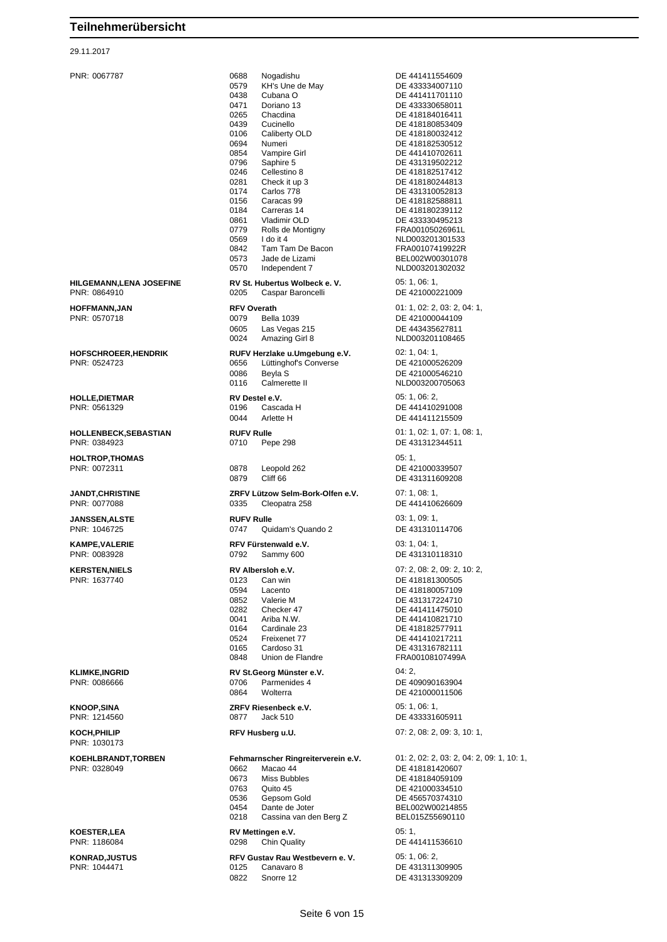29.11.2017

PNR: 1030173

PNR: 0067787 0688 Nogadishu DE 441411554609 0579 KH's Une de May DE 433334007110<br>0438 Cubana O 0438 Cubana O DE 441411701110<br>0471 Doriano 13 DE 433330658011 Doriano 13 DE 433330658011 0265 Chacdina DE 418184016411 0106 Caliberty OLD DE 418180032412 0694 Numeri DE 418182530512<br>19854 Vampire Girl DE 441410702611 0854 Vampire Girl DE 441410702611 0796 Saphire 5 DE 431319502212<br>0246 Cellestino 8 DE 418182517412 0246 Cellestino 8 DE 418182517412<br>0281 Check it up 3 DE 418180244813 0281 Check it up 3 DE 418180244813<br>0174 Carlos 778 DE 431310052813 0174 Carlos 778 DE 431310052813<br>0156 Caracas 99 DE 418182588811 0156 Caracas 99 DE 418182588811<br>0184 Carreras 14 DE 418180239112 0184 Carreras 14 DE 418180239112<br>19861 Vladimir OLD DE 433330495213 0861 Vladimir OLD DE 433330495213 Rolls de Montigny 0569 I do it 4 NLD003201301533 0842 Tam Tam De Bacon<br>0573 Jade de Lizami Jade de Lizami BEL002W00301078 0570 Independent 7 NLD003201302032 **HILGEMANN,LENA JOSEFINE RV St. Hubertus Wolbeck e. V.** 05: 1, 06: 1, 06: 1, 06: 1, 06: 1, 05: 1, 06: 1, 05: 0205 Caspar Baroncelli 0205 Caspar Baroncelli DE 421000221009 **HOFFMANN,JAN RFV Overath** 01: 1, 02: 2, 03: 2, 04: 1, PNR: 0570718 0079 Bella 1039 DE 421000044109 0605 Las Vegas 215 DE 443435627811 0024 Amazing Girl 8 NLD003201108465 **HOFSCHROEER,HENDRIK RUFV Herzlake u.Umgebung e.V.** 02: 1, 04: 1, PNR: 0524723 0656 Lüttinghof's Converse DE 421000526209 0086 Beyla S DE 421000546210 **HOLLE,DIETMAR RV Destel e.V.** 05: 1, 06: 2, PNR: 0561329 0196 Cascada H DE 441410291008 0044 Arlette H DE 441411215509 **HOLLENBECK,SEBASTIAN RUFV Rulle** 01: 1, 02: 1, 07: 1, 08: 1, PNR: 0384923 0710 Pepe 298 DE 431312344511 **HOLTROP,THOMAS** 05: 1, Leopold 262 DE 421000339507<br>Cliff 66 Cliff 66 0879 Cliff 66 DE 431311609208 **JANDT,CHRISTINE ZRFV Lützow Selm-Bork-Olfen e.V.** 07: 1, 08: 1, **JANSSEN,ALSTE RUFV Rulle** 03: 1, 09: 1, PNR: 1046725 0747 Quidam's Quando 2 DE 431310114706 **KAMPE,VALERIE RFV Fürstenwald e.V.** 03: 1, 04: 1, PNR: 0083928 0792 Sammy 600 DE 431310118310 **KERSTEN,NIELS RV Albersloh e.V.** 07: 2, 08: 2, 09: 2, 10: 2, PNR: 1637740 0123 Can win DE 418181300505 0594 Lacento DE 418180057109 0852 Valerie M DE 431317224710<br>0282 Checker 47 DE 441411475010 028 Checker 47 DE 441411475010<br>Ariba N.W. DE 441410821710 0041 Ariba N.W.<br>
0164 Cardinale 23 DE 418182577911 0164 Cardinale 23 Quadinale 23 Quadinale 23 Quadinale 2414110217911 0524 Freixenet 77 DE 441410217211<br>0165 Cardoso 31 DE 431316782111 Cardoso 31 DE 431316782111 0848 Union de Flandre **FRA00108107499A KLIMKE,INGRID RV St.Georg Münster e.V.** 04: 2, 04: 2, 04: 2, 04: 2, 04: 2, 04: 2, 04: 2, 05: 2, 04: 2, 05: 2, 05: 2, 05: 2, 05: 2, 05: 2, 05: 2, 05: 2, 05: 2, 05: 2, 05: 2, 05: 2, 05: 2, 05: 2, 05: 2, 05: 2, 05: 2, 05: 0864 Wolterra DE 421000011506 **KNOOP,SINA ZRFV Riesenbeck e.V.** 05: 1, 06: 1, PNR: 1214560 0877 Jack 510 DE 433331605911 **KOCH,PHILIP RFV Husberg u.U.** 07: 2, 08: 2, 09: 3, 10: 1, **KOEHLBRANDT,TORBEN Fehmarnscher Ringreiterverein e.V.** 01: 2, 02: 2, 03: 2, 04: 2, 09: 1, 10: 1, PNR: 0328049 0662 Macao 44 DE 418181420607 0673 Miss Bubbles DE 418184059109 0763 Quito 45 DE 421000334510 0536 Gepsom Gold DE 456570374310 0454 Dante de Joter BEL002W00214855<br>0218 Cassina van den Berg Z BEL015Z55690110 Cassina van den Berg Z **KOESTER, LEA RV Mettingen e.V. RV Mettingen e.V.** 05: 1, 05: 1, 05: 1, 05: 1, 05: 1, 05: 1, 05: 1, 05: 1, 05: 1, 05: 1, 05: 1, 05: 1, 05: 1, 05: 1, 05: 1, 05: 1, 05: 05: 1, 05: 1, 05: 1, 05: 1, 05: 1, 05: 1, 05: 1, 05 **KONRAD,JUSTUS RFV Gustav Rau Westbevern e. V.** 05: 1, 06: 2, 06: 2, 06: 2, 06: 2, 06: 2, 06: 2, 06: 2, 06: 2, 06: 2, 06: 2, 06: 2, 06: 2, 06: 2, 06: 2, 06: 2, 06: 2, 06: 2, 06: 2, 06: 2, 06: 2, 06: 2, 06: 2, 06: 2, 06: 0125 Canavaro 8 DE 431311309905

DE 418180853409 NLD003200705063 DE 441410626609 DE 409090163904 DE 441411536610

0822 Snorre 12 DE 431313309209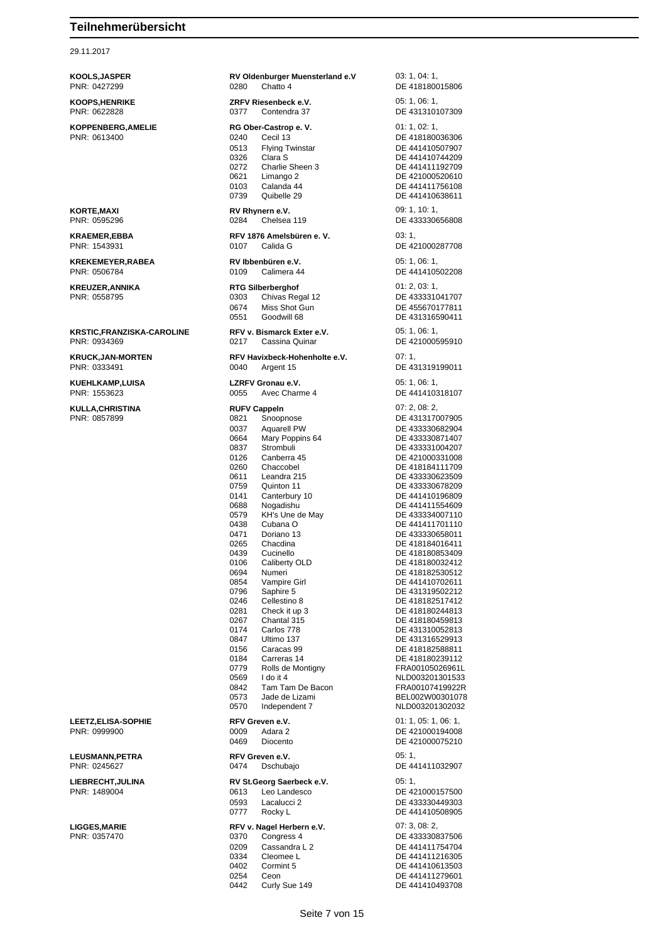#### 29.11.2017

**KOOLS,JASPER RV Oldenburger Muensterland e.V** 03: 1, 04: 1, PNR: 0427299 0280 Chatto 4 DE 418180015806 **KOOPS,HENRIKE ZRFV Riesenbeck e.V.** 05: 1, 06: 1, PNR: 0622828 0377 Contendra 37 DE 431310107309 **KOPPENBERG,AMELIE RG Ober-Castrop e. V.** 01: 1, 02: 1,<br>
PNR: 0613400 **DE 4181800 CEC** DE 418180036306 0513 Flying Twinstar DE 441410507907 0326 Clara S<br>0272 Charlie Sheen 3 DE 441411192709 0272 Charlie Sheen 3 DE 441411192709<br>0621 Limango 2 DE 421000520610 0621 Limango 2 DE 421000520610<br>0103 Calanda 44 DE 441411756108 Calanda 44 DE 441411756108 0739 Quibelle 29 DE 441410638611 **KORTE,MAXI RV Rhynern e.V. RV Rhynern e.V.** 09: 1, 10: 1, 10: 1, 19: 1, 10: 1, 10: 1, 10: 1, 10: 1, 10: 1, 10: 1, 10: 1, 10: 1, 10: 1, 10: 1, 10: 1, 10: 1, 10: 1, 10: 1, 10: 1, 10: 1, 10: 1, 10: 1, 10: 1, 10: 1, 10: 1 0284 Chelsea 119 DE 433330656808 **KRAEMER,EBBA RFV 1876 Amelsbüren e. V.** 03: 1, PNR: 1543931 0107 Calida G DE 421000287708 **KREKEMEYER,RABEA RV Ibbenbüren e.V.** 05: 1, 06: 1, PNR: 0506784 0109 Calimera 44 DE 441410502208 **KREUZER,ANNIKA RTG Silberberghof** 01: 2, 03: 1, PNR: 0558795 0303 Chivas Regal 12 DE 433331041707 DE 455670177811 0551 Goodwill 68 DE 431316590411 **KRSTIC,FRANZISKA-CAROLINE RFV v. Bismarck Exter e.V. CDD** 05: 1, 06: 1, PNR: 0934369 0217 Cassina Quinar DE 421000595910 **KRUCK,JAN-MORTEN RFV Havixbeck-Hohenholte e.V.** 07: 1,<br>PNR: 0333491 **DE 43 DE 43** DE 431319199011 **KUEHLKAMP,LUISA LZRFV Gronau e.V.** 05: 1, 06: 1, DE 441410318107 **KULLA,CHRISTINA RUFV Cappeln RUFV Cappeln 1998 CONSIDENT CAPP 10821 RUPY Cappeln CONSIDE 4313170** 0821 Snoopnose DE 431317007905 0037 Aquarell PW DE 433330682904<br>0664 Mary Poppins 64 DE 433330871407 DE 433330871407 0837 Strombuli DE 433331004207 0126 Canberra 45 DE 421000331008<br>0260 Chaccobel DE 418184111709 0260 Chaccobel DE 418184111709<br>0611 Leandra 215 DE 433330623509 0611 Leandra 215 DE 433330623509 0759 Quinton 11 Quinton 11 DE 433330678209<br>0141 Canterbury 10 Quinton DE 441410196809 0141 Canterbury 10 DE 441410196809<br>0688 Nogadishu DE 441411554609 0688 Nogadishu DE 441411554609 0579 KH's Une de May **DE 433334007110**<br>0438 Cubana O **DE 441411701110** 0438 Cubana O DE 441411701110 0471 Doriano 13 DE 433330658011<br>0265 Chacdina DE 418184016411 0265 Chacdina DE 418184016411 0439 Cucinello DE 418180853409<br>0106 Caliberty OLD DE 418180032412 0106 Caliberty OLD DE 418180032412<br>0694 Numeri DE 418182530512 0694 Numeri DE 418182530512<br>19854 Vampire Girl DE 441410702611 0854 Vampire Girl DE 441410702611 0796 Saphire 5 DE 431319502212<br>0246 Cellestino 8 DE 418182517412 DE 418182517412 0281 Check it up 3 DE 418180244813 0267 Chantal 315 DE 418180459813 0174 Carlos 778 DE 431310052813 0847 Ultimo 137 DE 431316529913 0156 Caracas 99 DE 418182588811<br>0184 Carreras 14 DE 418180239112 DE 418180239112 0779 Rolls de Montigny FRA00105026961L<br>0569 I do it 4 NLD003201301533 0569 I do it 4 NLD003201301533 FRA00107419922R 0573 Jade de Lizami BEL002W00301078<br>0570 Independent 7 NLD003201302032 NLD003201302032 **LEETZ,ELISA-SOPHIE RFV Greven e.V.** 01: 1, 05: 1, 06: 1, 06: 1, 06: 1, 06: 1, 06: 1, 06: 1, 06: 1, 06: 1, 06: 1, 06: 1, 06: 1, 06: 1, 05: 1, 06: 1, 05: 1, 06: 1, 05: 1, 06: 1, 05: 1, 06: 1, 05: 1, 05: 1, 05: 1, 05: 1, 0 0009 Adara 2 DE 421000194008<br>0469 Diocento DE 421000075210 DE 421000075210 **LEUSMANN,PETRA RFV Greven e.V.** 05: 1, DE 441411032907 **LIEBRECHT,JULINA RV St.Georg Saerbeck e.V.** 05: 1,<br>PNR: 1489004 **DE 42** 0613 Leo Landesco **DE 42** 0613 Leo Landesco DE 421000157500 0593 Lacalucci 2 DE 433330449303 0777 Rocky L DE 441410508905 **LIGGES,MARIE RFV v. Nagel Herbern e.V.** 07: 3, 08: 2, PNR: 0357470 0370 Congress 4 DE 433330837506 0209 Cassandra L 2 DE 441411754704 0334 Cleomee L<br>
0402 Cormint 5 DE 441410613503 0402 Cormint 5 DE 441410613503 0254 Ceon DE 441411279601<br>0442 Curly Sue 149 DE 441410493708 DE 441410493708

# Seite 7 von 15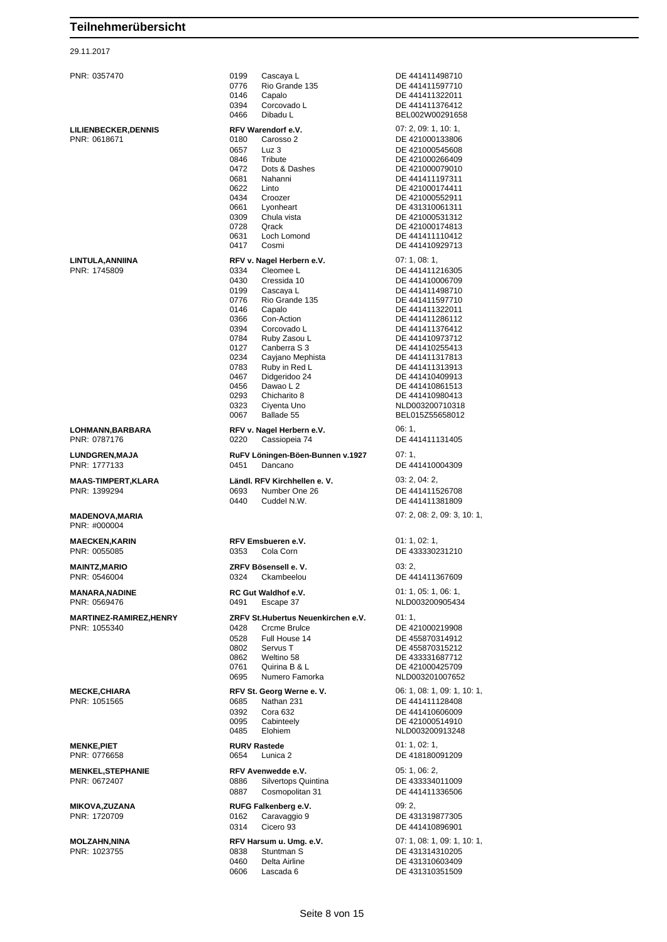| PNR: 0357470                                  | 0199<br>Cascaya L<br>0776<br>Rio Grande 135<br>0146<br>Capalo<br>0394<br>Corcovado L                                                                                                                                                                                                                                                                                                                        | DE 441411498710<br>DE 441411597710<br>DE 441411322011<br>DE 441411376412                                                                                                                                                                                                                                             |
|-----------------------------------------------|-------------------------------------------------------------------------------------------------------------------------------------------------------------------------------------------------------------------------------------------------------------------------------------------------------------------------------------------------------------------------------------------------------------|----------------------------------------------------------------------------------------------------------------------------------------------------------------------------------------------------------------------------------------------------------------------------------------------------------------------|
|                                               | 0466<br>Dibadu L                                                                                                                                                                                                                                                                                                                                                                                            | BEL002W00291658                                                                                                                                                                                                                                                                                                      |
| <b>LILIENBECKER,DENNIS</b><br>PNR: 0618671    | RFV Warendorf e.V.<br>0180<br>Carosso 2<br>0657<br>Luz 3<br>0846<br>Tribute                                                                                                                                                                                                                                                                                                                                 | 07: 2, 09: 1, 10: 1,<br>DE 421000133806<br>DE 421000545608<br>DE 421000266409                                                                                                                                                                                                                                        |
|                                               | 0472<br>Dots & Dashes<br>0681<br>Nahanni<br>0622<br>Linto<br>0434<br>Croozer<br>0661<br>Lyonheart                                                                                                                                                                                                                                                                                                           | DE 421000079010<br>DE 441411197311<br>DE 421000174411<br>DE 421000552911<br>DE 431310061311                                                                                                                                                                                                                          |
| LINTULA,ANNIINA                               | 0309<br>Chula vista<br>0728<br>Qrack<br>0631<br>Loch Lomond<br>0417<br>Cosmi<br>RFV v. Nagel Herbern e.V.                                                                                                                                                                                                                                                                                                   | DE 421000531312<br>DE 421000174813<br>DE 441411110412<br>DE 441410929713<br>07:1,08:1,                                                                                                                                                                                                                               |
| PNR: 1745809<br>LOHMANN,BARBARA               | Cleomee L<br>0334<br>0430<br>Cressida 10<br>0199<br>Cascaya L<br>0776<br>Rio Grande 135<br>0146<br>Capalo<br>0366<br>Con-Action<br>0394<br>Corcovado L<br>0784<br>Ruby Zasou L<br>0127<br>Canberra S 3<br>0234<br>Cayjano Mephista<br>0783<br>Ruby in Red L<br>0467<br>Didgeridoo 24<br>0456<br>Dawao L 2<br>0293<br>Chicharito 8<br>0323<br>Ciyenta Uno<br>0067<br>Ballade 55<br>RFV v. Nagel Herbern e.V. | DE 441411216305<br>DE 441410006709<br>DE 441411498710<br>DE 441411597710<br>DE 441411322011<br>DE 441411286112<br>DE 441411376412<br>DE 441410973712<br>DE 441410255413<br>DE 441411317813<br>DE 441411313913<br>DE 441410409913<br>DE 441410861513<br>DE 441410980413<br>NLD003200710318<br>BEL015Z55658012<br>06:1 |
| PNR: 0787176                                  | 0220<br>Cassiopeia 74                                                                                                                                                                                                                                                                                                                                                                                       | DE 441411131405                                                                                                                                                                                                                                                                                                      |
| <b>LUNDGREN,MAJA</b><br>PNR: 1777133          | RuFV Löningen-Böen-Bunnen v.1927<br>0451<br>Dancano                                                                                                                                                                                                                                                                                                                                                         | 07:1<br>DE 441410004309                                                                                                                                                                                                                                                                                              |
| MAAS-TIMPERT,KLARA<br>PNR: 1399294            | Ländl. RFV Kirchhellen e. V.<br>0693<br>Number One 26<br>0440<br>Cuddel N.W.                                                                                                                                                                                                                                                                                                                                | 03: 2, 04: 2,<br>DE 441411526708<br>DE 441411381809                                                                                                                                                                                                                                                                  |
| MADENOVA,MARIA<br>PNR: #000004                |                                                                                                                                                                                                                                                                                                                                                                                                             | 07: 2, 08: 2, 09: 3, 10: 1,                                                                                                                                                                                                                                                                                          |
| MAECKEN,KARIN<br>PNR: 0055085                 | RFV Emsbueren e.V.<br>Cola Corn<br>0353                                                                                                                                                                                                                                                                                                                                                                     | 01: 1, 02: 1,<br>DE 433330231210                                                                                                                                                                                                                                                                                     |
| MAINTZ,MARIO<br>PNR: 0546004                  | ZRFV Bösensell e.V.<br>0324<br>Ckambeelou                                                                                                                                                                                                                                                                                                                                                                   | 03:2,<br>DE 441411367609                                                                                                                                                                                                                                                                                             |
| MANARA,NADINE<br>PNR: 0569476                 | <b>RC Gut Waldhof e.V.</b><br>0491<br>Escape 37                                                                                                                                                                                                                                                                                                                                                             | 01: 1, 05: 1, 06: 1,<br>NLD003200905434                                                                                                                                                                                                                                                                              |
| <b>MARTINEZ-RAMIREZ,HENRY</b><br>PNR: 1055340 | ZRFV St.Hubertus Neuenkirchen e.V.<br>0428<br>Crcme Brulce<br>0528<br>Full House 14<br>0802<br>Servus T<br>0862<br>Weltino 58<br>0761<br>Quirina B & L<br>0695<br>Numero Famorka                                                                                                                                                                                                                            | 01:1,<br>DE 421000219908<br>DE 455870314912<br>DE 455870315212<br>DE 433331687712<br>DE 421000425709<br>NLD003201007652                                                                                                                                                                                              |
| <b>MECKE,CHIARA</b><br>PNR: 1051565           | RFV St. Georg Werne e. V.<br>0685<br>Nathan 231<br>0392<br>Cora 632<br>0095<br>Cabinteely<br>0485<br>Elohiem                                                                                                                                                                                                                                                                                                | 06: 1, 08: 1, 09: 1, 10: 1,<br>DE 441411128408<br>DE 441410606009<br>DE 421000514910<br>NLD003200913248                                                                                                                                                                                                              |
| <b>MENKE,PIET</b><br>PNR: 0776658             | <b>RURV Rastede</b><br>0654<br>Lunica 2                                                                                                                                                                                                                                                                                                                                                                     | 01: 1, 02: 1,<br>DE 418180091209                                                                                                                                                                                                                                                                                     |
| <b>MENKEL,STEPHANIE</b><br>PNR: 0672407       | RFV Avenwedde e.V.<br>0886<br>Silvertops Quintina<br>0887<br>Cosmopolitan 31                                                                                                                                                                                                                                                                                                                                | 05: 1, 06: 2,<br>DE 433334011009<br>DE 441411336506                                                                                                                                                                                                                                                                  |
| MIKOVA,ZUZANA<br>PNR: 1720709                 | RUFG Falkenberg e.V.<br>Caravaggio 9<br>0162<br>0314<br>Cicero 93                                                                                                                                                                                                                                                                                                                                           | 09:2,<br>DE 431319877305<br>DE 441410896901                                                                                                                                                                                                                                                                          |
| MOLZAHN,NINA<br>PNR: 1023755                  | RFV Harsum u. Umg. e.V.<br>Stuntman S<br>0838<br>0460<br>Delta Airline<br>0606<br>Lascada 6                                                                                                                                                                                                                                                                                                                 | 07: 1, 08: 1, 09: 1, 10: 1,<br>DE 431314310205<br>DE 431310603409<br>DE 431310351509                                                                                                                                                                                                                                 |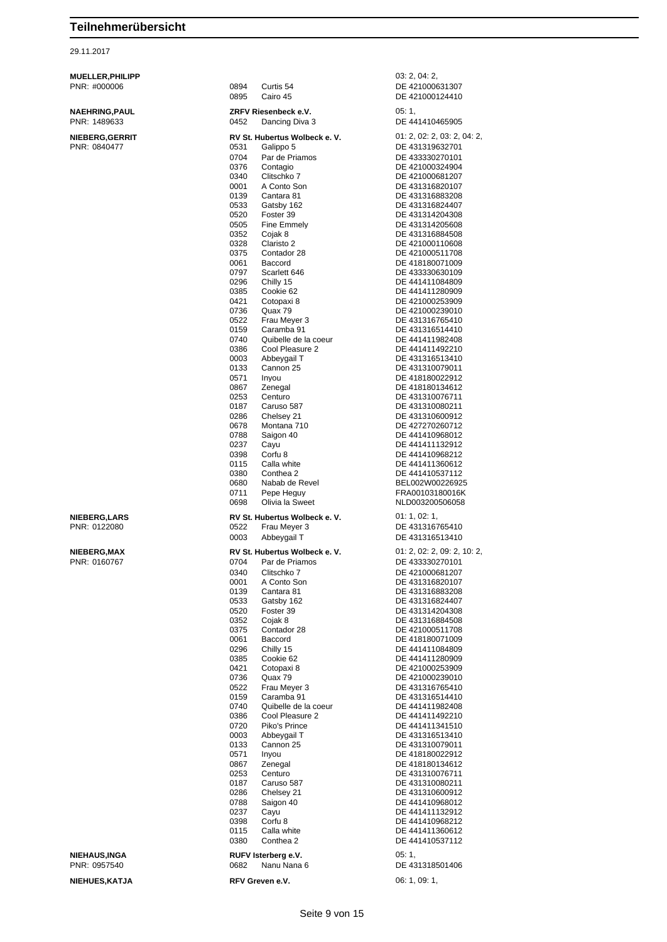29.11.2017

| <b>MUELLER, PHILIPP</b>                |                                                       | 03: 2, 04: 2,                      |
|----------------------------------------|-------------------------------------------------------|------------------------------------|
| PNR: #000006                           | 0894<br>Curtis 54                                     | DE 421000631307                    |
|                                        | 0895<br>Cairo 45                                      | DE 421000124410                    |
| <b>NAEHRING, PAUL</b>                  | ZRFV Riesenbeck e.V.                                  | 05:1,                              |
| PNR: 1489633                           | 0452<br>Dancing Diva 3                                | DE 441410465905                    |
|                                        | RV St. Hubertus Wolbeck e. V.                         | 01: 2, 02: 2, 03: 2, 04: 2,        |
| <b>NIEBERG, GERRIT</b><br>PNR: 0840477 | 0531<br>Galippo 5                                     | DE 431319632701                    |
|                                        | 0704<br>Par de Priamos                                | DE 433330270101                    |
|                                        | 0376<br>Contagio                                      | DE 421000324904                    |
|                                        | 0340<br>Clitschko 7                                   | DE 421000681207                    |
|                                        | 0001<br>A Conto Son                                   | DE 431316820107                    |
|                                        | 0139<br>Cantara 81                                    | DE 431316883208                    |
|                                        | 0533<br>Gatsby 162                                    | DE 431316824407                    |
|                                        | Foster 39<br>0520<br>0505<br>Fine Emmely              | DE 431314204308<br>DE 431314205608 |
|                                        | 0352<br>Cojak 8                                       | DE 431316884508                    |
|                                        | 0328<br>Claristo 2                                    | DE 421000110608                    |
|                                        | 0375<br>Contador 28                                   | DE 421000511708                    |
|                                        | 0061<br>Baccord                                       | DE 418180071009                    |
|                                        | 0797<br>Scarlett 646                                  | DE 433330630109                    |
|                                        | 0296<br>Chilly 15<br>0385<br>Cookie 62                | DE 441411084809<br>DE 441411280909 |
|                                        | 0421<br>Cotopaxi 8                                    | DE 421000253909                    |
|                                        | 0736<br>Quax 79                                       | DE 421000239010                    |
|                                        | 0522<br>Frau Meyer 3                                  | DE 431316765410                    |
|                                        | 0159<br>Caramba 91                                    | DE 431316514410                    |
|                                        | 0740<br>Quibelle de la coeur                          | DE 441411982408                    |
|                                        | 0386<br>Cool Pleasure 2                               | DE 441411492210                    |
|                                        | 0003<br>Abbeygail T<br>0133<br>Cannon 25              | DE 431316513410<br>DE 431310079011 |
|                                        | 0571<br>Inyou                                         | DE 418180022912                    |
|                                        | 0867<br>Zenegal                                       | DE 418180134612                    |
|                                        | 0253<br>Centuro                                       | DE 431310076711                    |
|                                        | 0187<br>Caruso 587                                    | DE 431310080211                    |
|                                        | 0286<br>Chelsey 21                                    | DE 431310600912                    |
|                                        | 0678<br>Montana 710<br>Saigon 40<br>0788              | DE 427270260712<br>DE 441410968012 |
|                                        | 0237<br>Cayu                                          | DE 441411132912                    |
|                                        | 0398<br>Corfu <sub>8</sub>                            | DE 441410968212                    |
|                                        | Calla white<br>0115                                   | DE 441411360612                    |
|                                        | 0380<br>Conthea 2                                     | DE 441410537112                    |
|                                        | 0680<br>Nabab de Revel                                | BEL002W00226925                    |
|                                        | 0711<br>Pepe Heguy<br>Olivia la Sweet<br>0698         | FRA00103180016K<br>NLD003200506058 |
|                                        |                                                       |                                    |
| <b>NIEBERG,LARS</b><br>PNR: 0122080    | RV St. Hubertus Wolbeck e. V.<br>0522<br>Frau Meyer 3 | 01: 1, 02: 1,<br>DE 431316765410   |
|                                        | 0003<br>Abbeygail T                                   | DE 431316513410                    |
|                                        |                                                       |                                    |
| <b>NIEBERG,MAX</b>                     | RV St. Hubertus Wolbeck e. V.                         | 01: 2, 02: 2, 09: 2, 10: 2,        |
| PNR: 0160767                           | 0704<br>Par de Priamos<br>0340                        | DE 433330270101                    |
|                                        | Clitschko 7<br>0001<br>A Conto Son                    | DE 421000681207<br>DE 431316820107 |
|                                        | 0139<br>Cantara 81                                    | DE 431316883208                    |
|                                        | 0533<br>Gatsby 162                                    | DE 431316824407                    |
|                                        | 0520<br>Foster 39                                     | DE 431314204308                    |
|                                        | 0352<br>Cojak 8                                       | DE 431316884508                    |
|                                        | 0375<br>Contador 28                                   | DE 421000511708<br>DE 418180071009 |
|                                        | 0061<br>Baccord<br>0296<br>Chilly 15                  | DE 441411084809                    |
|                                        | 0385<br>Cookie 62                                     | DE 441411280909                    |
|                                        | 0421<br>Cotopaxi 8                                    | DE 421000253909                    |
|                                        | 0736<br>Quax 79                                       | DE 421000239010                    |
|                                        | 0522<br>Frau Mever 3                                  | DE 431316765410                    |
|                                        | 0159<br>Caramba 91<br>Quibelle de la coeur            | DE 431316514410                    |
|                                        | 0740<br>0386<br>Cool Pleasure 2                       | DE 441411982408<br>DE 441411492210 |
|                                        | 0720<br>Piko's Prince                                 | DE 441411341510                    |
|                                        | Abbeygail T<br>0003                                   | DE 431316513410                    |
|                                        | 0133<br>Cannon 25                                     | DE 431310079011                    |
|                                        | 0571<br>Inyou                                         | DE 418180022912                    |
|                                        | 0867<br>Zenegal<br>0253<br>Centuro                    | DE 418180134612<br>DE 431310076711 |
|                                        | 0187<br>Caruso 587                                    | DE 431310080211                    |
|                                        | 0286<br>Chelsey 21                                    | DE 431310600912                    |
|                                        | 0788<br>Saigon 40                                     | DE 441410968012                    |
|                                        | 0237<br>Cayu                                          | DE 441411132912                    |
|                                        | Corfu 8<br>0398                                       | DE 441410968212                    |
|                                        | 0115<br>Calla white<br>0380<br>Conthea 2              | DE 441411360612<br>DE 441410537112 |
|                                        |                                                       |                                    |
| <b>NIEHAUS,INGA</b><br>PNR: 0957540    | RUFV Isterberg e.V.                                   | 05:1,                              |
|                                        | 0682<br>Nanu Nana 6                                   | DE 431318501406                    |

## **NIEHUES,KATJA RFV Greven e.V. 06: 1, 09: 1,**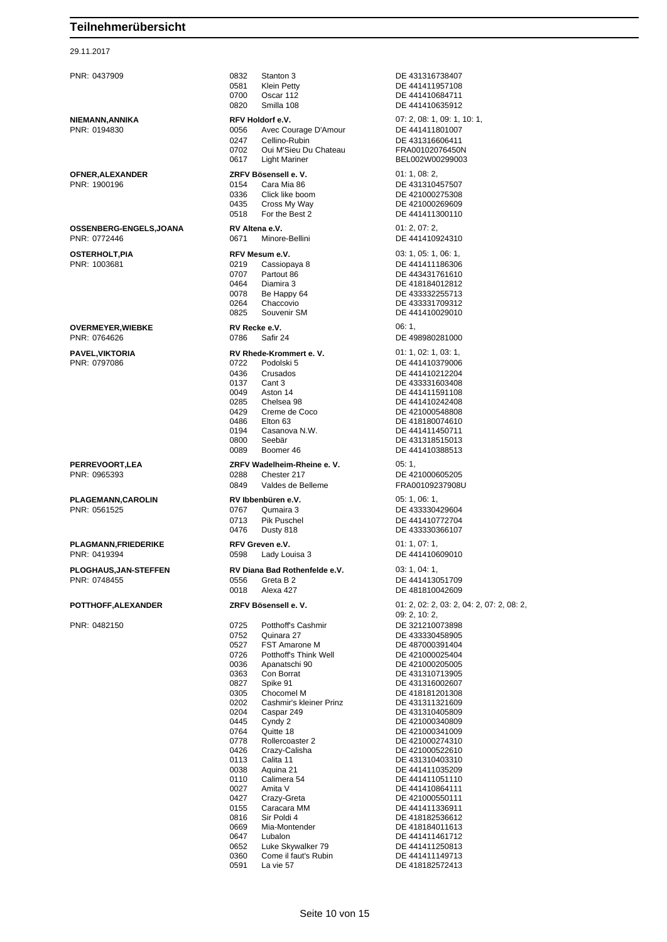#### 29.11.2017

| 0832<br>Stanton 3<br>0581<br>Klein Petty<br>0700<br>Oscar 112<br>0820<br>Smilla 108                                                                                                                                                                                                                                                                                                                                                                                                                                                                           | DE 431316738407<br>DE 441411957108<br>DE 441410684711<br>DE 441410635912                                                                                                                                                                                                                                                                                                                                                                                                              |
|---------------------------------------------------------------------------------------------------------------------------------------------------------------------------------------------------------------------------------------------------------------------------------------------------------------------------------------------------------------------------------------------------------------------------------------------------------------------------------------------------------------------------------------------------------------|---------------------------------------------------------------------------------------------------------------------------------------------------------------------------------------------------------------------------------------------------------------------------------------------------------------------------------------------------------------------------------------------------------------------------------------------------------------------------------------|
| RFV Holdorf e.V.<br>Avec Courage D'Amour<br>0056<br>0247<br>Cellino-Rubin<br>0702<br>Oui M'Sieu Du Chateau<br>0617<br>Light Mariner                                                                                                                                                                                                                                                                                                                                                                                                                           | 07: 2, 08: 1, 09: 1, 10: 1,<br>DE 441411801007<br>DE 431316606411<br>FRA00102076450N<br>BEL002W00299003                                                                                                                                                                                                                                                                                                                                                                               |
| ZRFV Bösensell e.V.<br>0154<br>Cara Mia 86<br>0336<br>Click like boom<br>0435<br>Cross My Way<br>For the Best 2<br>0518                                                                                                                                                                                                                                                                                                                                                                                                                                       | 01: 1, 08: 2,<br>DE 431310457507<br>DE 421000275308<br>DE 421000269609<br>DE 441411300110                                                                                                                                                                                                                                                                                                                                                                                             |
| RV Altena e.V.<br>0671<br>Minore-Bellini                                                                                                                                                                                                                                                                                                                                                                                                                                                                                                                      | 01: 2, 07: 2,<br>DE 441410924310                                                                                                                                                                                                                                                                                                                                                                                                                                                      |
| RFV Mesum e.V.<br>0219<br>Cassiopaya 8<br>0707<br>Partout 86<br>0464<br>Diamira 3<br>0078<br>Be Happy 64<br>0264<br>Chaccovio<br>0825<br>Souvenir SM                                                                                                                                                                                                                                                                                                                                                                                                          | 03: 1, 05: 1, 06: 1,<br>DE 441411186306<br>DE 443431761610<br>DE 418184012812<br>DE 433332255713<br>DE 433331709312<br>DE 441410029010                                                                                                                                                                                                                                                                                                                                                |
| RV Recke e.V.<br>0786<br>Safir 24                                                                                                                                                                                                                                                                                                                                                                                                                                                                                                                             | 06:1,<br>DE 498980281000                                                                                                                                                                                                                                                                                                                                                                                                                                                              |
| RV Rhede-Krommert e.V.<br>0722<br>Podolski 5<br>0436<br>Crusados<br>0137<br>Cant 3<br>0049<br>Aston 14<br>Chelsea 98<br>0285<br>0429<br>Creme de Coco<br>0486<br>Elton 63<br>0194<br>Casanova N.W.<br>Seebär<br>0800<br>0089<br>Boomer 46                                                                                                                                                                                                                                                                                                                     | 01: 1, 02: 1, 03: 1,<br>DE 441410379006<br>DE 441410212204<br>DE 433331603408<br>DE 441411591108<br>DE 441410242408<br>DE 421000548808<br>DE 418180074610<br>DE 441411450711<br>DE 431318515013<br>DE 441410388513                                                                                                                                                                                                                                                                    |
| ZRFV Wadelheim-Rheine e.V.<br>0288<br>Chester 217<br>0849<br>Valdes de Belleme                                                                                                                                                                                                                                                                                                                                                                                                                                                                                | 05:1,<br>DE 421000605205<br>FRA00109237908U                                                                                                                                                                                                                                                                                                                                                                                                                                           |
| RV Ibbenbüren e.V.<br>0767<br>Qumaira 3<br>0713<br>Pik Puschel<br>0476<br>Dusty 818                                                                                                                                                                                                                                                                                                                                                                                                                                                                           | 05: 1, 06: 1,<br>DE 433330429604<br>DE 441410772704<br>DE 433330366107                                                                                                                                                                                                                                                                                                                                                                                                                |
| RFV Greven e.V.<br>0598<br>Lady Louisa 3                                                                                                                                                                                                                                                                                                                                                                                                                                                                                                                      | 01:1,07:1,<br>DE 441410609010                                                                                                                                                                                                                                                                                                                                                                                                                                                         |
| RV Diana Bad Rothenfelde e.V.<br>Greta B 2<br>0556<br>0018<br>Alexa 427                                                                                                                                                                                                                                                                                                                                                                                                                                                                                       | 03:1,04:1,<br>DE 441413051709<br>DE 481810042609                                                                                                                                                                                                                                                                                                                                                                                                                                      |
| ZRFV Bösensell e.V.                                                                                                                                                                                                                                                                                                                                                                                                                                                                                                                                           | 01: 2, 02: 2, 03: 2, 04: 2, 07: 2, 08: 2,                                                                                                                                                                                                                                                                                                                                                                                                                                             |
| 0725<br>Potthoff's Cashmir<br>0752<br>Quinara 27<br>0527<br>FST Amarone M<br>0726<br>Potthoff's Think Well<br>0036<br>Apanatschi 90<br>0363<br>Con Borrat<br>0827<br>Spike 91<br>0305<br>Chocomel M<br>0202<br>Cashmir's kleiner Prinz<br>0204<br>Caspar 249<br>0445<br>Cyndy 2<br>0764<br>Quitte 18<br>0778<br>Rollercoaster 2<br>0426<br>Crazy-Calisha<br>0113<br>Calita 11<br>0038<br>Aquina 21<br>0110<br>Calimera 54<br>0027<br>Amita V<br>0427<br>Crazy-Greta<br>0155<br>Caracara MM<br>0816<br>Sir Poldi 4<br>0669<br>Mia-Montender<br>0647<br>Lubalon | 09: 2, 10: 2,<br>DE 321210073898<br>DE 433330458905<br>DE 487000391404<br>DE 421000025404<br>DE 421000205005<br>DE 431310713905<br>DE 431316002607<br>DE 418181201308<br>DE 431311321609<br>DE 431310405809<br>DE 421000340809<br>DE 421000341009<br>DE 421000274310<br>DE 421000522610<br>DE 431310403310<br>DE 441411035209<br>DE 441411051110<br>DE 441410864111<br>DE 421000550111<br>DE 441411336911<br>DE 418182536612<br>DE 418184011613<br>DE 441411461712<br>DE 441411250813 |
|                                                                                                                                                                                                                                                                                                                                                                                                                                                                                                                                                               |                                                                                                                                                                                                                                                                                                                                                                                                                                                                                       |

 Come il faut's Rubin DE 441411149713 La vie 57 DE 418182572413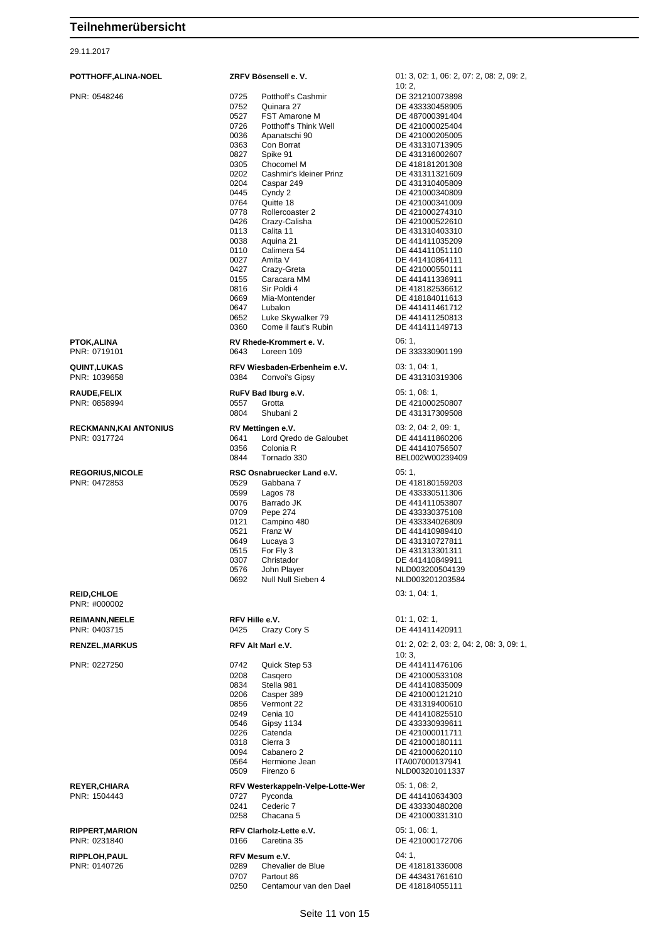| 29.11.2017                            |                        |
|---------------------------------------|------------------------|
| POTTHOFF, ALINA-NOEL                  | <b>ZRFV Bo</b>         |
| PNR: 0548246                          | 0725                   |
|                                       | 0752                   |
|                                       | 0527                   |
|                                       | 0726<br>0036           |
|                                       | 0363                   |
|                                       | 0827                   |
|                                       | 0305                   |
|                                       | 0202                   |
|                                       | 0204<br>0445           |
|                                       | 0764                   |
|                                       | 0778                   |
|                                       | 0426                   |
|                                       | 0113<br>0038           |
|                                       | 0110                   |
|                                       | 0027                   |
|                                       | 0427                   |
|                                       | 0155                   |
|                                       | 0816<br>0669           |
|                                       | 0647                   |
|                                       | 0652                   |
|                                       | 0360                   |
| <b>PTOK, ALINA</b><br>PNR: 0719101    | <b>RV Rhec</b><br>0643 |
| QUINT, LUKAS<br>PNR: 1039658          | <b>RFV Wie</b><br>0384 |
| <b>RAUDE,FELIX</b>                    | <b>RuFV Ba</b>         |
| PNR: 0858994                          | 0557                   |
|                                       | 0804                   |
| <b>RECKMANN, KAI ANTONIUS</b>         | <b>RV Metti</b>        |
| PNR: 0317724                          | 0641                   |
|                                       | 0356                   |
|                                       | 0844                   |
| <b>REGORIUS, NICOLE</b>               | <b>RSC Osi</b>         |
| PNR: 0472853                          | 0529                   |
|                                       | 0599<br>0076           |
|                                       | 0709                   |
|                                       | 0121                   |
|                                       | 0521                   |
|                                       | 0649                   |
|                                       | 0515<br>0307           |
|                                       | 0576                   |
|                                       | 0692                   |
| <b>REID, CHLOE</b><br>PNR: #000002    |                        |
| <b>REIMANN, NEELE</b><br>PNR: 0403715 | RFV Hill<br>0425       |
| <b>RENZEL, MARKUS</b>                 | <b>RFV Alt</b>         |
| PNR: 0227250                          | 0742                   |
|                                       | 0208                   |
|                                       | 0834<br>0206           |
|                                       | 0856                   |
|                                       | 0249                   |
|                                       | 0546                   |
|                                       | 0226                   |
|                                       | 0318<br>0094           |
|                                       | 0564                   |
|                                       | 0509                   |
| <b>REYER, CHIARA</b>                  | RFV Wes                |
| PNR: 1504443                          | 0727                   |
|                                       | 0241                   |
|                                       | 0258                   |
| <b>RIPPERT.MARION</b>                 | <b>RFV Clar</b>        |

| POTTHOFF,ALINA-NOEL                    | ZRFV Bösensell e.V.                                                                                                                                                                                                                                                                                                                                                                                                                                                                                                                                                                                                               | 01: 3, 02: 1, 06: 2, 07: 2, 08: 2, 09: 2,                                                                                                                                                                                                                                                                                                                                                                                                                                                        |
|----------------------------------------|-----------------------------------------------------------------------------------------------------------------------------------------------------------------------------------------------------------------------------------------------------------------------------------------------------------------------------------------------------------------------------------------------------------------------------------------------------------------------------------------------------------------------------------------------------------------------------------------------------------------------------------|--------------------------------------------------------------------------------------------------------------------------------------------------------------------------------------------------------------------------------------------------------------------------------------------------------------------------------------------------------------------------------------------------------------------------------------------------------------------------------------------------|
| PNR: 0548246                           | 0725<br>Potthoff's Cashmir<br>0752<br>Quinara 27<br>0527<br><b>FST Amarone M</b><br>0726<br>Potthoff's Think Well<br>0036<br>Apanatschi 90<br>0363<br>Con Borrat<br>0827<br>Spike 91<br>0305<br>Chocomel M<br>Cashmir's kleiner Prinz<br>0202<br>0204<br>Caspar 249<br>0445<br>Cyndy 2<br>0764<br>Quitte 18<br>0778<br>Rollercoaster 2<br>0426<br>Crazy-Calisha<br>Calita 11<br>0113<br>0038<br>Aquina 21<br>0110<br>Calimera 54<br>0027<br>Amita V<br>0427<br>Crazy-Greta<br>0155<br>Caracara MM<br>0816<br>Sir Poldi 4<br>0669<br>Mia-Montender<br>0647<br>Lubalon<br>0652<br>Luke Skywalker 79<br>0360<br>Come il faut's Rubin | 10:2,<br>DE 321210073898<br>DE 433330458905<br>DE 487000391404<br>DE 421000025404<br>DE 421000205005<br>DE 431310713905<br>DE 431316002607<br>DE 418181201308<br>DE 431311321609<br>DE 431310405809<br>DE 421000340809<br>DE 421000341009<br>DE 421000274310<br>DE 421000522610<br>DE 431310403310<br>DE 441411035209<br>DE 441411051110<br>DE 441410864111<br>DE 421000550111<br>DE 441411336911<br>DE 418182536612<br>DE 418184011613<br>DE 441411461712<br>DE 441411250813<br>DE 441411149713 |
| PTOK,ALINA<br>PNR: 0719101             | RV Rhede-Krommert e.V.<br>0643<br>Loreen 109                                                                                                                                                                                                                                                                                                                                                                                                                                                                                                                                                                                      | 06: 1,<br>DE 333330901199                                                                                                                                                                                                                                                                                                                                                                                                                                                                        |
| QUINT,LUKAS<br>PNR: 1039658            | RFV Wiesbaden-Erbenheim e.V.<br>0384<br>Convoi's Gipsy                                                                                                                                                                                                                                                                                                                                                                                                                                                                                                                                                                            | 03:1,04:1<br>DE 431310319306                                                                                                                                                                                                                                                                                                                                                                                                                                                                     |
| <b>RAUDE,FELIX</b><br>PNR: 0858994     | RuFV Bad Iburg e.V.<br>0557<br>Grotta<br>0804<br>Shubani 2                                                                                                                                                                                                                                                                                                                                                                                                                                                                                                                                                                        | 05: 1, 06: 1,<br>DE 421000250807<br>DE 431317309508                                                                                                                                                                                                                                                                                                                                                                                                                                              |
| RECKMANN,KAI ANTONIUS<br>PNR: 0317724  | RV Mettingen e.V.<br>0641<br>Lord Qredo de Galoubet<br>0356<br>Colonia R<br>0844<br>Tornado 330                                                                                                                                                                                                                                                                                                                                                                                                                                                                                                                                   | 03: 2, 04: 2, 09: 1,<br>DE 441411860206<br>DE 441410756507<br>BEL002W00239409                                                                                                                                                                                                                                                                                                                                                                                                                    |
| <b>REGORIUS,NICOLE</b><br>PNR: 0472853 | RSC Osnabruecker Land e.V.<br>0529<br>Gabbana 7<br>0599<br>Lagos 78<br>0076<br>Barrado JK<br>0709<br>Pepe 274<br>0121<br>Campino 480<br>0521<br>Franz W<br>0649<br>Lucaya 3<br>0515<br>For Fly 3<br>0307<br>Christador<br><b>0576</b><br>John Player<br>0692<br>Null Null Sieben 4                                                                                                                                                                                                                                                                                                                                                | 05:1,<br>DE 418180159203<br>DE 433330511306<br>DE 441411053807<br>DE 433330375108<br>DE 433334026809<br>DE 441410989410<br>DE 431310727811<br>DE 431313301311<br>DE 441410849911<br>NLD003200504139<br>NLD003201203584                                                                                                                                                                                                                                                                           |
| <b>REID,CHLOE</b><br>PNR: #000002      |                                                                                                                                                                                                                                                                                                                                                                                                                                                                                                                                                                                                                                   | 03: 1, 04: 1,                                                                                                                                                                                                                                                                                                                                                                                                                                                                                    |
| <b>REIMANN,NEELE</b><br>PNR: 0403715   | RFV Hille e.V.<br>Crazy Cory S<br>0425                                                                                                                                                                                                                                                                                                                                                                                                                                                                                                                                                                                            | 01: 1, 02: 1,<br>DE 441411420911                                                                                                                                                                                                                                                                                                                                                                                                                                                                 |
| <b>RENZEL,MARKUS</b>                   | RFV Alt Marl e.V.                                                                                                                                                                                                                                                                                                                                                                                                                                                                                                                                                                                                                 | 01: 2, 02: 2, 03: 2, 04: 2, 08: 3, 09: 1,                                                                                                                                                                                                                                                                                                                                                                                                                                                        |
| PNR: 0227250                           | 0742<br>Quick Step 53<br>0208<br>Casgero<br>0834<br>Stella 981<br>0206<br>Casper 389<br>0856<br>Vermont 22<br>0249<br>Cenia 10<br>0546<br>Gipsy 1134<br>0226<br>Catenda<br>0318<br>Cierra 3<br>0094<br>Cabanero 2<br>Hermione Jean<br>0564<br>Firenzo 6<br>0509                                                                                                                                                                                                                                                                                                                                                                   | 10:3,<br>DE 441411476106<br>DE 421000533108<br>DE 441410835009<br>DE 421000121210<br>DE 431319400610<br>DE 441410825510<br>DE 433330939611<br>DE 421000011711<br>DE 421000180111<br>DE 421000620110<br>ITA007000137941<br>NLD003201011337                                                                                                                                                                                                                                                        |
| <b>REYER,CHIARA</b><br>PNR: 1504443    | RFV Westerkappeln-Velpe-Lotte-Wer<br>0727<br>Pyconda<br>0241<br>Cederic 7<br>0258<br>Chacana 5                                                                                                                                                                                                                                                                                                                                                                                                                                                                                                                                    | 05: 1, 06: 2,<br>DE 441410634303<br>DE 433330480208<br>DE 421000331310                                                                                                                                                                                                                                                                                                                                                                                                                           |
| <b>RIPPERT,MARION</b><br>PNR: 0231840  | RFV Clarholz-Lette e.V.<br>0166<br>Caretina 35                                                                                                                                                                                                                                                                                                                                                                                                                                                                                                                                                                                    | 05: 1, 06: 1,<br>DE 421000172706                                                                                                                                                                                                                                                                                                                                                                                                                                                                 |
| <b>RIPPLOH,PAUL</b><br>PNR: 0140726    | RFV Mesum e.V.<br>0289<br>Chevalier de Blue<br>0707<br>Partout 86<br>Centamour van den Dael<br>0250                                                                                                                                                                                                                                                                                                                                                                                                                                                                                                                               | 04:1,<br>DE 418181336008<br>DE 443431761610<br>DE 418184055111                                                                                                                                                                                                                                                                                                                                                                                                                                   |

Seite 11 von 15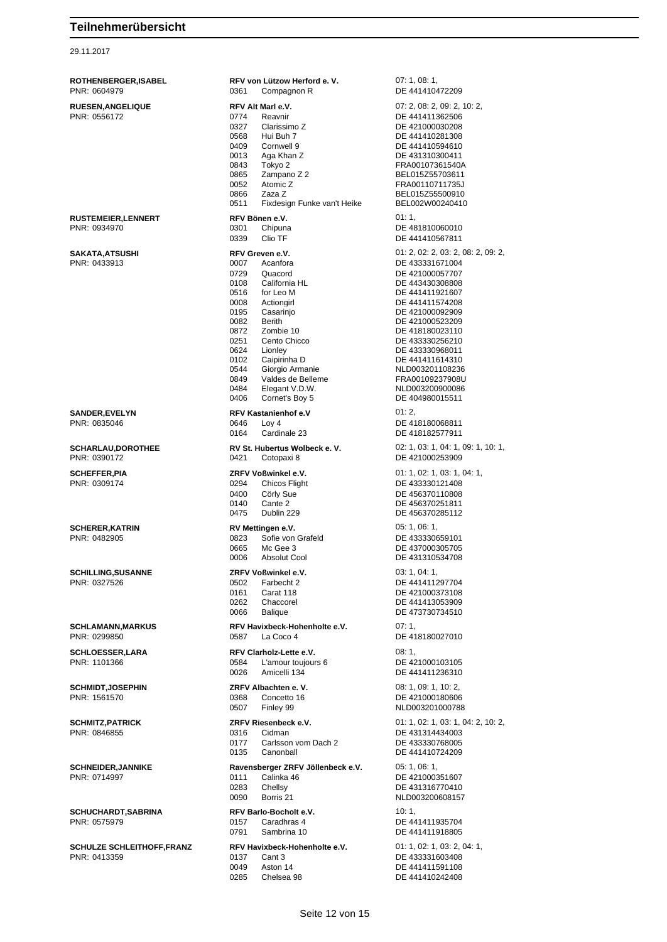#### 29.11.2017

**ROTHENBERGER,ISABEL RFV von Lützow Herford e. V.** 07: 1, 08: 1, PNR: 0604979 0361 Compagnon R DE 441410472209 **RUESEN,ANGELIQUE RFV Alt Marl e.V.** 07: 2, 08: 2, 09: 2, 10: 2, 09: 2, 10: 2, 09: 2, 10: 2, 09: 2, 10: 2, 09: 2, 10: 2, 09: 2, 09: 2, 09: 2, 09: 2, 09: 2, 09: 2, 09: 2, 09: 2, 09: 2, 09: 2, 09: 2, 09: 2, 09: 2, 09: 2, 0 0327 Clarissimo Z DE 421000030208 0568 Hui Buh 7 DE 441410281308 0409 Cornwell 9 DE 441410594610 0013 Aga Khan Z DE 431310300411 0843 Tokyo 2 FRA00107361540A 0865 Zampano Z 2 BEL015Z55703611 0052 Atomic Z FRA00110711735J 0866 Zaza Z BEL015Z55500910 Fixdesign Funke van't Heike **RUSTEMEIER, LENNERT**<br> **RFV Bönen e.V.** 01: 1, 01: 1, 01: 1, 01: 01: 1, 03: 01: 01: 02: 01: 02: 01: 02: 02: 02: 02: 02: 02: 02: 02: 0 PNR: 0934970 0301 Chipuna DE 481810060010 0339 Clio TF DE 441410567811 **SAKATA,ATSUSHI RFV Greven e.V.** 01: 2, 02: 2, 03: 2, 08: 2, 09: 2, 0729 Quacord DE 421000057707 0108 California HL DE 443430308808 0008 Actiongirl DE 441411574208 0195 Casarinjo DE 421000092909 Berith DE 421000523209 0872 Zombie 10 DE 418180023110 0251 Cento Chicco DE 433330256210 0624 Lionley DE 433330968011<br>0102 Caipirinha D DE 441411614310 0102 Caipirinha D DE 441411614310 0544 Giorgio Armanie 1980 - NUD003201108236<br>19849 Valdes de Belleme 1980 - FRA00109237908U 0484 Elegant V.D.W.<br>0406 Cornet's Boy 5 DE 404980015511 0406 Cornet's Boy 5 DE 404980015511 **SANDER.EVELYN RFV Kastanienhof e.V 01: 2,** PNR: 0835046 0646 Loy 4 DE 418180068811 0164 Cardinale 23 DE 418182577911 **SCHARLAU,DOROTHEE RV St. Hubertus Wolbeck e. V.** 02: 1, 03: 1, 04: 1, 09: 1, 10: 1,<br>
PNR: 0390172 **DE 421000253909** 0421 Cotopaxi 8 DE 421000253909 **SCHEFFER, PIA ZRFV Voßwinkel e.V.** 01: 1, 02: 1, 03: 1, 04: 1, 04: 1, 03: 1, 04: 1, 02: 1, 03: 1, 04: 1, 02: 1, 03: 1, 04: 1, 02: 1, 03: 1, 04: 1, 02: 1, 03: 1, 04: 1, 02: 1, 03: 1, 04: 1, 02: 1, 03: 1, 04: 1, 02: 1, 03 0294 Chicos Flight DE 433330121408<br>0400 Cörly Sue DE 456370110808 0400 Cörly Sue **DE 456370110808** 0140 Cante 2 DE 456370251811 0475 Dublin 229 DE 456370285112 **SCHERER,KATRIN RV Mettingen e.V.** 05: 1, 06: 1, 0823 Sofie von Grafeld DE 433330659101 0665 Mc Gee 3 DE 437000305705 0006 Absolut Cool DE 431310534708 **SCHILLING,SUSANNE ZRFV Voßwinkel e.V.** 03: 1, 04: 1, PNR: 0327526 0502 Farbecht 2 DE 441411297704 0161 Carat 118 DE 421000373108 0262 Chaccorel DE 441413053909<br>0066 Balique DE 473730734510 **SCHLAMANN,MARKUS RFV Havixbeck-Hohenholte e.V.** 07: 1, PNR: 0299850 0587 La Coco 4 DE 418180027010 **SCHLOESSER,LARA RFV Clarholz-Lette e.V.** 08: 1,<br>PNR: 1101366 **DE 4:** 0584 L'amour toujours 6 **DE** 4: L'amour toujours 6 DE 421000103105<br>Amicelli 134 DE 441411236310 0026 Amicelli 134 DE 441411236310 **SCHMIDT,JOSEPHIN ZRFV Albachten e. V.** 08: 1, 09: 1, 10: 2, 0507 Finley 99 NLD003201000788 **SCHMITZ,PATRICK ZRFV Riesenbeck e.V.** 01: 1, 02: 1, 03: 1, 04: 2, 10: 2, 0177 Carlsson vom Dach 2 DE 433330768005<br>0135 Canonball DE 441410724209 **SCHNEIDER,JANNIKE Ravensberger ZRFV Jöllenbeck e.V.** 05: 1, 06: 1,<br>PNR: 0714997<br>DE 421000351607 PNR: 0714997 0111 Calinka 46 DE 421000351607 0283 Chellsy DE 431316770410 0090 Borris 21 NLD003200608157 **SCHUCHARDT,SABRINA RFV Barlo-Bocholt e.V.** 10: 1, PNR: 0575979 0157 Caradhras 4 DE 441411935704 0791 Sambrina 10 DE 441411918805 **SCHULZE SCHLEITHOFF,FRANZ RFV Havixbeck-Hohenholte e.V.** 01: 1, 02: 1, 03: 2, 04: 1,<br>
PNR: 0413359 **DE 433331603408 0137** Cant 3 0137 Cant 3 DE 433331603408 0049 Aston 14 DE 441411591108<br>0285 Chelsea 98 DE 441410242408 DE 441410242408

DE 441411362506 DE 433331671004 DE 441411921607 0849 Valdes de Belleme FRA00109237908U DE 473730734510 DE 421000180606 DE 431314434003 DE 441410724209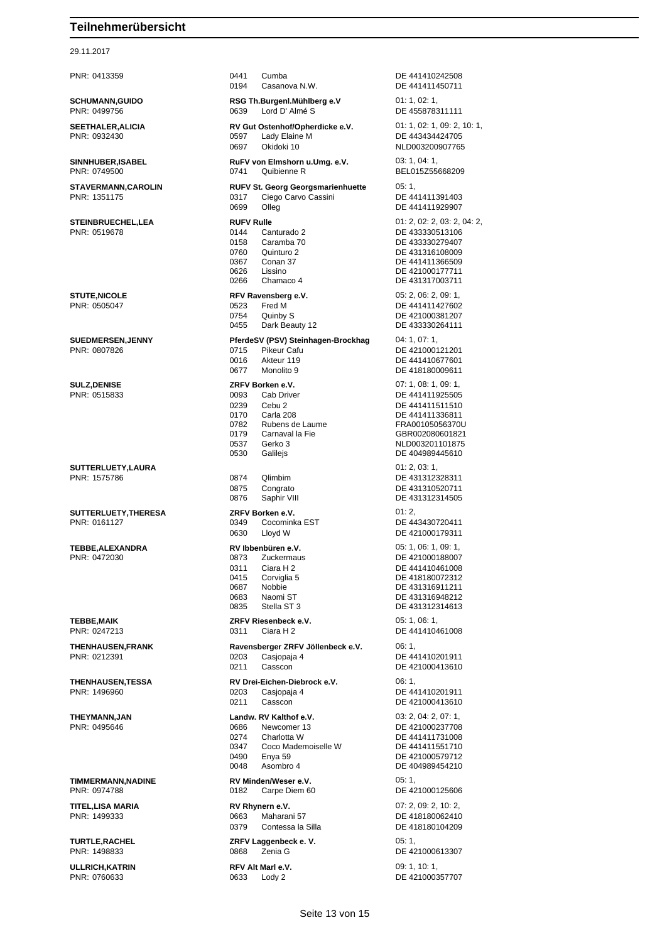29.11.2017 **SINNHUBER,ISABEL RUFV VON EINER STAVERMANN,CAROLIN R SUEDMERSEN,JENNY Pf SULZ,DENISE ZRFV BOOTS SUTTERLUETY,LAURA** 01: 2, 03: 1,  $SUTTERLUETY, THERESA$  **ZI TEBBE,ALEXANDRA RV** 

| PNR: 0413359                              | 0441<br>Cumba<br>0194<br>Casanova N.W.                                                                                                                                                | DE 441410242508<br>DE 441411450711                                                                                                                        |
|-------------------------------------------|---------------------------------------------------------------------------------------------------------------------------------------------------------------------------------------|-----------------------------------------------------------------------------------------------------------------------------------------------------------|
| <b>SCHUMANN,GUIDO</b><br>PNR: 0499756     | RSG Th.Burgenl.Mühlberg e.V<br>0639<br>Lord D' Almé S                                                                                                                                 | 01: 1, 02: 1,<br>DE 455878311111                                                                                                                          |
| <b>SEETHALER,ALICIA</b><br>PNR: 0932430   | RV Gut Ostenhof/Opherdicke e.V.<br>0597<br>Lady Elaine M<br>Okidoki 10<br>0697                                                                                                        | 01: 1, 02: 1, 09: 2, 10: 1,<br>DE 443434424705<br>NLD003200907765                                                                                         |
| <b>SINNHUBER, ISABEL</b><br>PNR: 0749500  | RuFV von Elmshorn u.Umg. e.V.<br>Quibienne R<br>0741                                                                                                                                  | 03: 1, 04: 1,<br>BEL015Z55668209                                                                                                                          |
| <b>STAVERMANN,CAROLIN</b><br>PNR: 1351175 | <b>RUFV St. Georg Georgsmarienhuette</b><br>Ciego Carvo Cassini<br>0317<br>0699<br>Olleg                                                                                              | 05:1,<br>DE 441411391403<br>DE 441411929907                                                                                                               |
| <b>STEINBRUECHEL,LEA</b><br>PNR: 0519678  | <b>RUFV Rulle</b><br>0144<br>Canturado 2<br>0158<br>Caramba 70<br>0760<br>Quinturo 2<br>0367<br>Conan 37<br>0626<br>Lissino<br>0266<br>Chamaco 4                                      | 01: 2, 02: 2, 03: 2, 04: 2,<br>DE 433330513106<br>DE 433330279407<br>DE 431316108009<br>DE 441411366509<br>DE 421000177711<br>DE 431317003711             |
| <b>STUTE,NICOLE</b><br>PNR: 0505047       | RFV Ravensberg e.V.<br>Fred M<br>0523<br>0754<br>Quinby S<br>0455<br>Dark Beauty 12                                                                                                   | 05: 2, 06: 2, 09: 1,<br>DE 441411427602<br>DE 421000381207<br>DE 433330264111                                                                             |
| <b>SUEDMERSEN,JENNY</b><br>PNR: 0807826   | PferdeSV (PSV) Steinhagen-Brockhag<br>0715<br>Pikeur Cafu<br>0016<br>Akteur 119<br>0677<br>Monolito 9                                                                                 | 04:1,07:1,<br>DE 421000121201<br>DE 441410677601<br>DE 418180009611                                                                                       |
| <b>SULZ, DENISE</b><br>PNR: 0515833       | ZRFV Borken e.V.<br>0093<br>Cab Driver<br>0239<br>Cebu <sub>2</sub><br>0170<br>Carla 208<br>0782<br>Rubens de Laume<br>0179<br>Carnaval la Fie<br>0537<br>Gerko 3<br>0530<br>Galilejs | 07: 1, 08: 1, 09: 1,<br>DE 441411925505<br>DE 441411511510<br>DE 441411336811<br>FRA00105056370U<br>GBR002080601821<br>NLD003201101875<br>DE 404989445610 |
| SUTTERLUETY,LAURA<br>PNR: 1575786         | 0874<br>Qlimbim<br>0875<br>Congrato<br>0876<br>Saphir VIII                                                                                                                            | 01: 2, 03: 1,<br>DE 431312328311<br>DE 431310520711<br>DE 431312314505                                                                                    |
| SUTTERLUETY, THERESA<br>PNR: 0161127      | ZRFV Borken e.V.<br>0349<br>Cocominka EST<br>0630<br>Lloyd W                                                                                                                          | 01:2,<br>DE 443430720411<br>DE 421000179311                                                                                                               |
| TEBBE,ALEXANDRA<br>PNR: 0472030           | RV Ibbenbüren e.V.<br>0873<br>Zuckermaus<br>0311<br>Ciara H 2<br>0415<br>Corviglia 5<br>0687<br>Nobbie<br>0683<br>Naomi ST<br>Stella ST 3<br>0835                                     | 05: 1, 06: 1, 09: 1,<br>DE 421000188007<br>DE 441410461008<br>DE 418180072312<br>DE 431316911211<br>DE 431316948212<br>DE 431312314613                    |
| TEBBE,MAIK<br>PNR: 0247213                | ZRFV Riesenbeck e.V.<br>0311<br>Ciara H <sub>2</sub>                                                                                                                                  | 05: 1, 06: 1,<br>DE 441410461008                                                                                                                          |
| <b>THENHAUSEN, FRANK</b><br>PNR: 0212391  | Ravensberger ZRFV Jöllenbeck e.V.<br>0203<br>Casiopaja 4<br>0211<br>Casscon                                                                                                           | 06:1,<br>DE 441410201911<br>DE 421000413610                                                                                                               |
| <b>THENHAUSEN,TESSA</b><br>PNR: 1496960   | RV Drei-Eichen-Diebrock e.V.<br>0203<br>Casjopaja 4<br>0211<br>Casscon                                                                                                                | 06:1,<br>DE 441410201911<br>DE 421000413610                                                                                                               |
| THEYMANN,JAN<br>PNR: 0495646              | Landw. RV Kalthof e.V.<br>0686<br>Newcomer 13<br>0274<br>Charlotta W<br>0347<br>Coco Mademoiselle W<br>0490<br>Enya 59<br>0048<br>Asombro 4                                           | 03: 2, 04: 2, 07: 1,<br>DE 421000237708<br>DE 441411731008<br>DE 441411551710<br>DE 421000579712<br>DE 404989454210                                       |
| <b>TIMMERMANN,NADINE</b><br>PNR: 0974788  | RV Minden/Weser e.V.<br>0182<br>Carpe Diem 60                                                                                                                                         | 05:1,<br>DE 421000125606                                                                                                                                  |
| TITEL,LISA MARIA<br>PNR: 1499333          | RV Rhynern e.V.<br>0663<br>Maharani 57<br>0379<br>Contessa la Silla                                                                                                                   | 07: 2, 09: 2, 10: 2,<br>DE 418180062410<br>DE 418180104209                                                                                                |
| <b>TURTLE, RACHEL</b><br>PNR: 1498833     | ZRFV Laggenbeck e.V.<br>0868<br>Zenia G                                                                                                                                               | 05:1,<br>DE 421000613307                                                                                                                                  |
| <b>ULLRICH, KATRIN</b><br>PNR: 0760633    | RFV Alt Marl e.V.<br>0633<br>Lody 2                                                                                                                                                   | 09:1, 10:1,<br>DE 421000357707                                                                                                                            |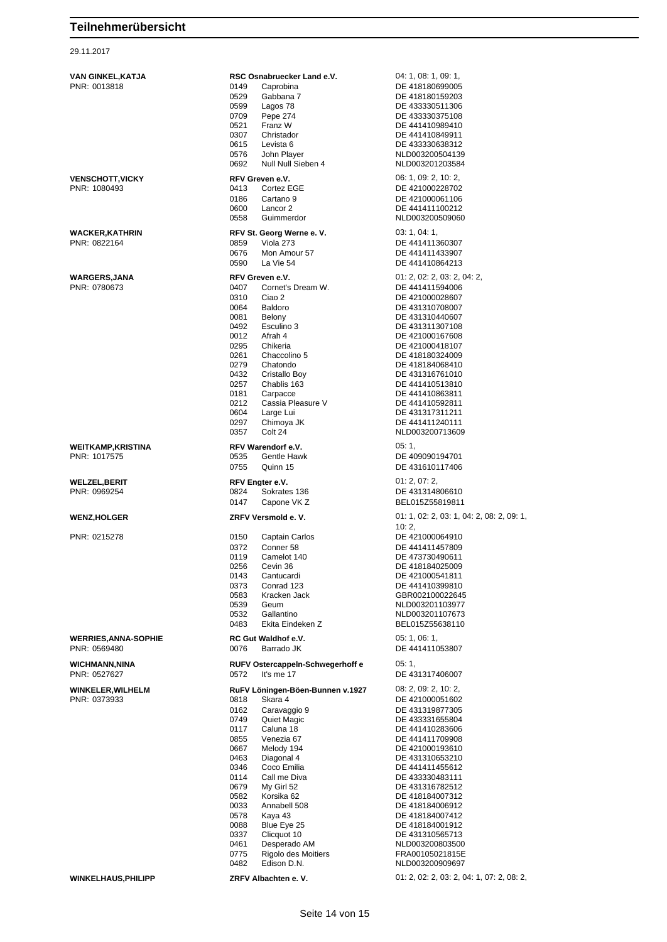| VAN GINKEL,KATJA            | RSC Osnabruecker Land e.V.                          | 04: 1, 08: 1, 09: 1,                                         |
|-----------------------------|-----------------------------------------------------|--------------------------------------------------------------|
| PNR: 0013818                | 0149<br>Caprobina<br>0529<br>Gabbana 7              | DE 418180699005<br>DE 418180159203                           |
|                             | 0599<br>Lagos 78                                    | DE 433330511306                                              |
|                             | 0709<br>Pepe 274                                    | DE 433330375108                                              |
|                             | 0521<br>Franz W                                     | DE 441410989410                                              |
|                             | 0307<br>Christador                                  | DE 441410849911                                              |
|                             | 0615<br>Levista 6                                   | DE 433330638312                                              |
|                             | 0576<br>John Player                                 | NLD003200504139                                              |
|                             | 0692<br>Null Null Sieben 4                          | NLD003201203584                                              |
| <b>VENSCHOTT, VICKY</b>     | RFV Greven e.V.                                     | 06: 1, 09: 2, 10: 2,                                         |
| PNR: 1080493                | Cortez EGE<br>0413                                  | DE 421000228702                                              |
|                             | 0186<br>Cartano <sub>9</sub>                        | DE 421000061106                                              |
|                             | 0600<br>Lancor 2                                    | DE 441411100212                                              |
|                             | 0558<br>Guimmerdor                                  | NLD003200509060                                              |
| <b>WACKER, KATHRIN</b>      | RFV St. Georg Werne e. V.                           | 03: 1, 04: 1,                                                |
| PNR: 0822164                | Viola 273<br>0859                                   | DE 441411360307                                              |
|                             | 0676<br>Mon Amour 57                                | DE 441411433907                                              |
|                             | 0590<br>La Vie 54                                   | DE 441410864213                                              |
| <b>WARGERS, JANA</b>        | RFV Greven e.V.                                     | 01: 2, 02: 2, 03: 2, 04: 2,                                  |
| PNR: 0780673                | 0407<br>Cornet's Dream W.                           | DE 441411594006                                              |
|                             | 0310<br>Ciao 2                                      | DE 421000028607                                              |
|                             | 0064<br>Baldoro                                     | DE 431310708007                                              |
|                             | 0081<br>Belony                                      | DE 431310440607                                              |
|                             | 0492<br>Esculino 3                                  | DE 431311307108                                              |
|                             | 0012<br>Afrah 4                                     | DE 421000167608                                              |
|                             | 0295<br>Chikeria                                    | DE 421000418107                                              |
|                             | 0261<br>Chaccolino 5<br>0279<br>Chatondo            | DE 418180324009<br>DE 418184068410                           |
|                             | 0432<br>Cristallo Boy                               | DE 431316761010                                              |
|                             | 0257<br>Chablis 163                                 | DE 441410513810                                              |
|                             | 0181<br>Carpacce                                    | DE 441410863811                                              |
|                             | Cassia Pleasure V<br>0212                           | DE 441410592811                                              |
|                             | 0604<br>Large Lui                                   | DE 431317311211                                              |
|                             | 0297<br>Chimoya JK                                  | DE 441411240111                                              |
|                             | Colt 24<br>0357                                     | NLD003200713609                                              |
| <b>WEITKAMP, KRISTINA</b>   | RFV Warendorf e.V.                                  | 05:1,                                                        |
| PNR: 1017575                | Gentle Hawk<br>0535                                 | DE 409090194701                                              |
|                             | 0755<br>Quinn 15                                    | DE 431610117406                                              |
|                             |                                                     |                                                              |
|                             |                                                     |                                                              |
| <b>WELZEL,BERIT</b>         | RFV Engter e.V.                                     | 01: 2, 07: 2,                                                |
| PNR: 0969254                | 0824<br>Sokrates 136<br>0147                        | DE 431314806610                                              |
|                             | Capone VK Z                                         | BEL015Z55819811                                              |
| <b>WENZ, HOLGER</b>         | ZRFV Versmold e.V.                                  | 01: 1, 02: 2, 03: 1, 04: 2, 08: 2, 09: 1,                    |
|                             |                                                     | 10:2,                                                        |
| PNR: 0215278                | 0150<br>Captain Carlos                              | DE 421000064910                                              |
|                             | 0372<br>Conner <sub>58</sub><br>0119<br>Camelot 140 | DE 441411457809<br>DE 473730490611                           |
|                             | 0256<br>Cevin 36                                    | DE 418184025009                                              |
|                             | 0143<br>Cantucardi                                  | DE 421000541811                                              |
|                             | 0373<br>Conrad 123                                  | DE 441410399810                                              |
|                             | 0583<br>Kracken Jack                                | GBR002100022645                                              |
|                             | 0539<br>Geum                                        | NLD003201103977                                              |
|                             | 0532<br>Gallantino                                  | NLD003201107673                                              |
|                             | 0483<br>Ekita Eindeken Z                            | BEL015Z55638110                                              |
| <b>WERRIES, ANNA-SOPHIE</b> | RC Gut Waldhof e.V.                                 | 05: 1, 06: 1,                                                |
| PNR: 0569480                | 0076<br>Barrado JK                                  | DE 441411053807                                              |
| <b>WICHMANN, NINA</b>       | RUFV Ostercappeln-Schwegerhoff e                    | 05:1,                                                        |
| PNR: 0527627                | 0572<br>It's me 17                                  | DE 431317406007                                              |
|                             |                                                     |                                                              |
| <b>WINKELER, WILHELM</b>    | RuFV Löningen-Böen-Bunnen v.1927                    | 08: 2, 09: 2, 10: 2,                                         |
| PNR: 0373933                | 0818<br>Skara 4                                     | DE 421000051602                                              |
|                             | 0162<br>Caravaggio 9                                | DE 431319877305                                              |
|                             | 0749<br>Quiet Magic<br>0117<br>Caluna 18            | DE 433331655804<br>DE 441410283606                           |
|                             | 0855<br>Venezia 67                                  | DE 441411709908                                              |
|                             | 0667<br>Melody 194                                  | DE 421000193610                                              |
|                             | 0463<br>Diagonal 4                                  | DE 431310653210                                              |
|                             | 0346<br>Coco Emilia                                 | DE 441411455612                                              |
|                             | 0114<br>Call me Diva                                | DE 433330483111                                              |
|                             | 0679<br>My Girl 52                                  | DE 431316782512                                              |
|                             | 0582<br>Korsika 62                                  | DE 418184007312                                              |
|                             | 0033<br>Annabell 508<br>0578<br>Kaya 43             | DE 418184006912<br>DE 418184007412                           |
|                             | 0088<br>Blue Eye 25                                 | DE 418184001912                                              |
|                             | 0337<br>Clicquot 10                                 | DE 431310565713                                              |
|                             | 0461<br>Desperado AM                                | NLD003200803500                                              |
|                             | 0775<br>Rigolo des Moitiers                         | FRA00105021815E                                              |
| <b>WINKELHAUS, PHILIPP</b>  | 0482<br>Edison D.N.                                 | NLD003200909697<br>01: 2, 02: 2, 03: 2, 04: 1, 07: 2, 08: 2, |